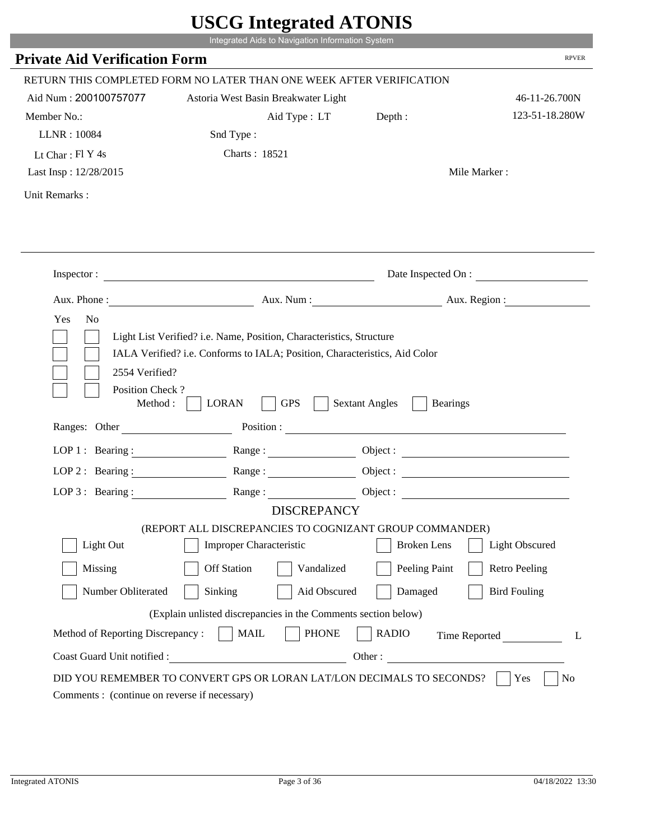|                                               | Integrated Aids to Navigation Information System                                                                                                   |                                          |                              |
|-----------------------------------------------|----------------------------------------------------------------------------------------------------------------------------------------------------|------------------------------------------|------------------------------|
| <b>Private Aid Verification Form</b>          |                                                                                                                                                    |                                          | <b>RPVER</b>                 |
|                                               | RETURN THIS COMPLETED FORM NO LATER THAN ONE WEEK AFTER VERIFICATION                                                                               |                                          |                              |
| Aid Num: 200100757077                         | Astoria West Basin Breakwater Light                                                                                                                |                                          | 46-11-26.700N                |
| Member No.:                                   | Aid Type: LT                                                                                                                                       | Depth:                                   | 123-51-18.280W               |
| LLNR: 10084                                   | Snd Type:                                                                                                                                          |                                          |                              |
| Lt Char: $FI Y 4s$                            | Charts: 18521                                                                                                                                      |                                          |                              |
| Last Insp: 12/28/2015                         |                                                                                                                                                    |                                          | Mile Marker:                 |
| Unit Remarks:                                 |                                                                                                                                                    |                                          |                              |
|                                               |                                                                                                                                                    |                                          |                              |
|                                               | Inspector:                                                                                                                                         |                                          | Date Inspected On :          |
|                                               | Aux. Phone : Aux. Num : Aux. Num : Aux. Aux. Region :                                                                                              |                                          |                              |
| Yes<br>N <sub>o</sub>                         | Light List Verified? i.e. Name, Position, Characteristics, Structure<br>IALA Verified? i.e. Conforms to IALA; Position, Characteristics, Aid Color |                                          |                              |
| 2554 Verified?<br>Position Check?<br>Method : | <b>GPS</b><br><b>LORAN</b>                                                                                                                         | <b>Sextant Angles</b><br><b>Bearings</b> |                              |
| Ranges: Other                                 |                                                                                                                                                    | Position :                               |                              |
| LOP 1 : Bearing :                             | Range:                                                                                                                                             |                                          |                              |
| $LOP$ 2 : Bearing :                           | Range:                                                                                                                                             |                                          |                              |
|                                               | LOP 3: Bearing: Range:                                                                                                                             |                                          |                              |
|                                               | <b>DISCREPANCY</b>                                                                                                                                 |                                          |                              |
| Light Out                                     | (REPORT ALL DISCREPANCIES TO COGNIZANT GROUP COMMANDER)<br>Improper Characteristic                                                                 | <b>Broken</b> Lens                       | Light Obscured               |
|                                               |                                                                                                                                                    |                                          |                              |
| Missing                                       | <b>Off Station</b><br>Vandalized                                                                                                                   | Peeling Paint                            | <b>Retro Peeling</b>         |
| Number Obliterated                            | Sinking<br>Aid Obscured                                                                                                                            | Damaged                                  | <b>Bird Fouling</b>          |
|                                               | (Explain unlisted discrepancies in the Comments section below)                                                                                     |                                          |                              |
| Method of Reporting Discrepancy:              | <b>MAIL</b><br><b>PHONE</b>                                                                                                                        | <b>RADIO</b>                             | Time Reported<br>L<br>Other: |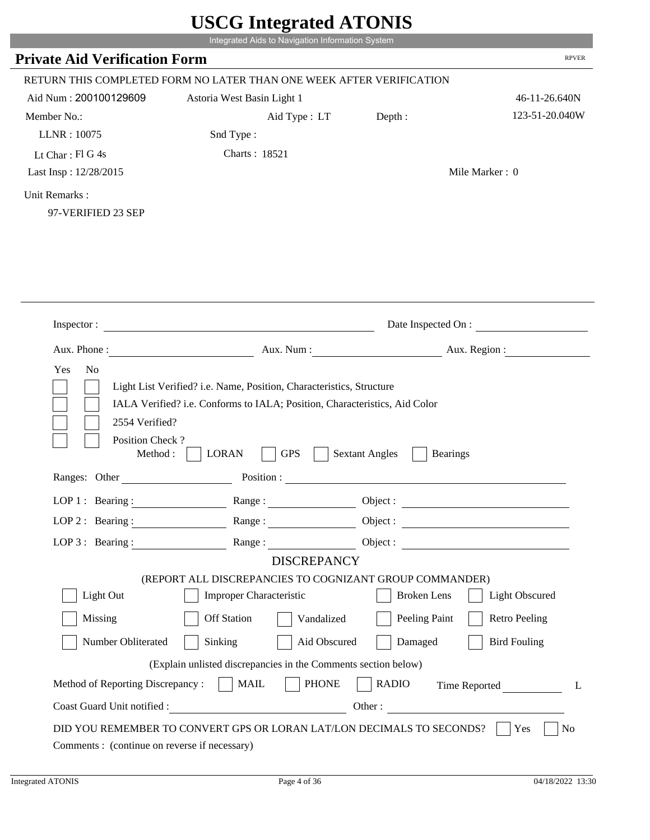| <b>Private Aid Verification Form</b><br>RETURN THIS COMPLETED FORM NO LATER THAN ONE WEEK AFTER VERIFICATION<br>Aid Num: 200100129609<br>Member No.:<br>LLNR: 10075<br>Lt Char: Fl G 4s                                                                       | Astoria West Basin Light 1<br>Aid Type : LT<br>Snd Type:                                                                                           | Depth:                                   | <b>RPVER</b>          |
|---------------------------------------------------------------------------------------------------------------------------------------------------------------------------------------------------------------------------------------------------------------|----------------------------------------------------------------------------------------------------------------------------------------------------|------------------------------------------|-----------------------|
|                                                                                                                                                                                                                                                               |                                                                                                                                                    |                                          |                       |
|                                                                                                                                                                                                                                                               |                                                                                                                                                    |                                          |                       |
|                                                                                                                                                                                                                                                               |                                                                                                                                                    |                                          | 46-11-26.640N         |
|                                                                                                                                                                                                                                                               |                                                                                                                                                    |                                          | 123-51-20.040W        |
|                                                                                                                                                                                                                                                               |                                                                                                                                                    |                                          |                       |
|                                                                                                                                                                                                                                                               | Charts: 18521                                                                                                                                      |                                          |                       |
| Last Insp: 12/28/2015                                                                                                                                                                                                                                         |                                                                                                                                                    |                                          | Mile Marker: 0        |
| Unit Remarks:<br>97-VERIFIED 23 SEP                                                                                                                                                                                                                           |                                                                                                                                                    |                                          |                       |
| Inspector:                                                                                                                                                                                                                                                    |                                                                                                                                                    |                                          | Date Inspected On :   |
|                                                                                                                                                                                                                                                               |                                                                                                                                                    |                                          |                       |
|                                                                                                                                                                                                                                                               | <u> 1980 - Johann Barbara, martin amerikan basal dan berasal dan berasal dalam basal dalam basal dalam basal dala</u>                              |                                          |                       |
| Aux. Phone : <u>New York: Aux. Num : New York: Aux. Region : New York: New York: New York: New York: New York: New York: New York: New York: New York: New York: New York: New York: New York: New York: New York: New York: New</u><br>Yes<br>N <sub>o</sub> | Light List Verified? i.e. Name, Position, Characteristics, Structure<br>IALA Verified? i.e. Conforms to IALA; Position, Characteristics, Aid Color |                                          |                       |
| 2554 Verified?<br>Position Check?<br>Method:                                                                                                                                                                                                                  | <b>GPS</b><br><b>LORAN</b>                                                                                                                         | <b>Sextant Angles</b><br><b>Bearings</b> |                       |
| Ranges: Other<br><u>and a straightful and a straightful</u>                                                                                                                                                                                                   | Position :                                                                                                                                         |                                          |                       |
| LOP $1$ : Bearing :                                                                                                                                                                                                                                           | Range:                                                                                                                                             | Object :                                 |                       |
| LOP 2 : Bearing : Range :                                                                                                                                                                                                                                     |                                                                                                                                                    |                                          |                       |
| $LOP$ 3 : Bearing :                                                                                                                                                                                                                                           |                                                                                                                                                    |                                          |                       |
|                                                                                                                                                                                                                                                               | <b>DISCREPANCY</b>                                                                                                                                 |                                          |                       |
|                                                                                                                                                                                                                                                               | (REPORT ALL DISCREPANCIES TO COGNIZANT GROUP COMMANDER)                                                                                            |                                          |                       |
| Light Out                                                                                                                                                                                                                                                     | <b>Improper Characteristic</b>                                                                                                                     | <b>Broken</b> Lens                       | <b>Light Obscured</b> |
| Missing                                                                                                                                                                                                                                                       | <b>Off Station</b><br>Vandalized                                                                                                                   | Peeling Paint                            | <b>Retro Peeling</b>  |
| Number Obliterated                                                                                                                                                                                                                                            | Sinking<br>Aid Obscured                                                                                                                            | Damaged                                  | <b>Bird Fouling</b>   |
|                                                                                                                                                                                                                                                               | (Explain unlisted discrepancies in the Comments section below)                                                                                     |                                          |                       |
| Method of Reporting Discrepancy:                                                                                                                                                                                                                              | $\vert$ MAIL<br><b>PHONE</b>                                                                                                                       | <b>RADIO</b>                             | Time Reported<br>L    |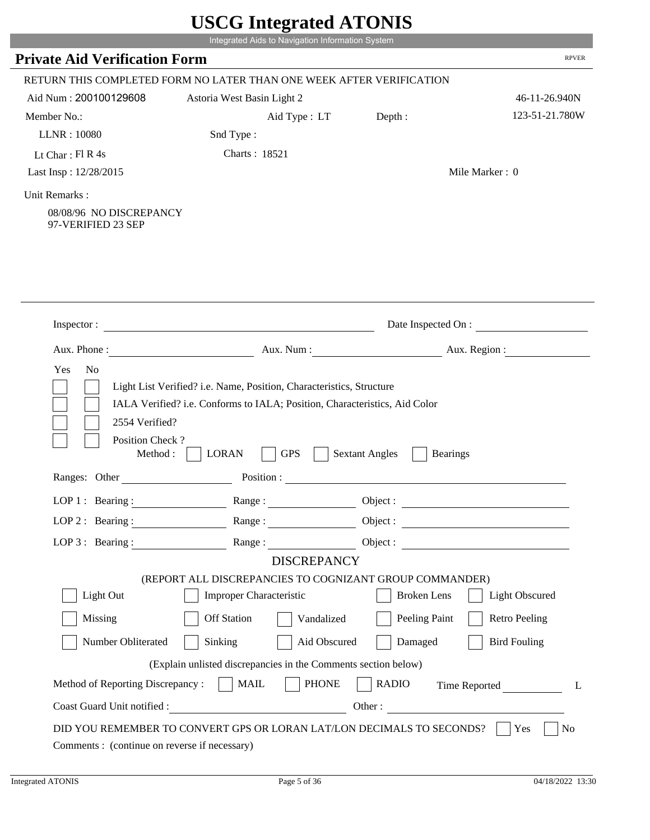|                                                                | Integrated Aids to Navigation Information System                                                         |                                          |                       |
|----------------------------------------------------------------|----------------------------------------------------------------------------------------------------------|------------------------------------------|-----------------------|
| <b>Private Aid Verification Form</b>                           |                                                                                                          |                                          | <b>RPVER</b>          |
|                                                                | RETURN THIS COMPLETED FORM NO LATER THAN ONE WEEK AFTER VERIFICATION                                     |                                          |                       |
| Aid Num: 200100129608                                          | Astoria West Basin Light 2                                                                               |                                          | 46-11-26.940N         |
| Member No.:                                                    | Aid Type : LT                                                                                            | Depth:                                   | 123-51-21.780W        |
| LLNR: 10080                                                    | Snd Type:                                                                                                |                                          |                       |
| Lt Char: $FI$ R 4s                                             | Charts: 18521                                                                                            |                                          |                       |
| Last Insp: 12/28/2015                                          |                                                                                                          | Mile Marker: 0                           |                       |
| Unit Remarks:<br>08/08/96 NO DISCREPANCY<br>97-VERIFIED 23 SEP |                                                                                                          |                                          |                       |
| Inspector:                                                     |                                                                                                          | Date Inspected On :                      |                       |
| Aux. Phone:                                                    | Aux. Num:                                                                                                | Aux. Region :                            |                       |
|                                                                |                                                                                                          |                                          |                       |
| 2554 Verified?<br>Position Check?<br>Method:                   | IALA Verified? i.e. Conforms to IALA; Position, Characteristics, Aid Color<br><b>LORAN</b><br><b>GPS</b> | <b>Sextant Angles</b><br><b>Bearings</b> |                       |
| Ranges: Other                                                  | Position :                                                                                               |                                          |                       |
| $LOP1:$ Bearing:                                               | Range:                                                                                                   | Object:                                  |                       |
|                                                                | LOP 2: Bearing: Range: Range: Object:                                                                    |                                          |                       |
| $LOP$ 3 : Bearing :                                            | Range:                                                                                                   | Object :                                 |                       |
|                                                                | <b>DISCREPANCY</b>                                                                                       |                                          |                       |
| Light Out                                                      | (REPORT ALL DISCREPANCIES TO COGNIZANT GROUP COMMANDER)<br><b>Improper Characteristic</b>                | <b>Broken Lens</b>                       | <b>Light Obscured</b> |
| Missing                                                        | Off Station<br>Vandalized                                                                                | Peeling Paint                            | <b>Retro Peeling</b>  |
| Number Obliterated                                             | Sinking<br>Aid Obscured                                                                                  | Damaged                                  | <b>Bird Fouling</b>   |
|                                                                |                                                                                                          |                                          |                       |
| Method of Reporting Discrepancy :     MAIL                     | (Explain unlisted discrepancies in the Comments section below)<br><b>PHONE</b>                           | <b>RADIO</b>                             | L                     |
|                                                                |                                                                                                          | Time Reported<br>Other:                  |                       |

P.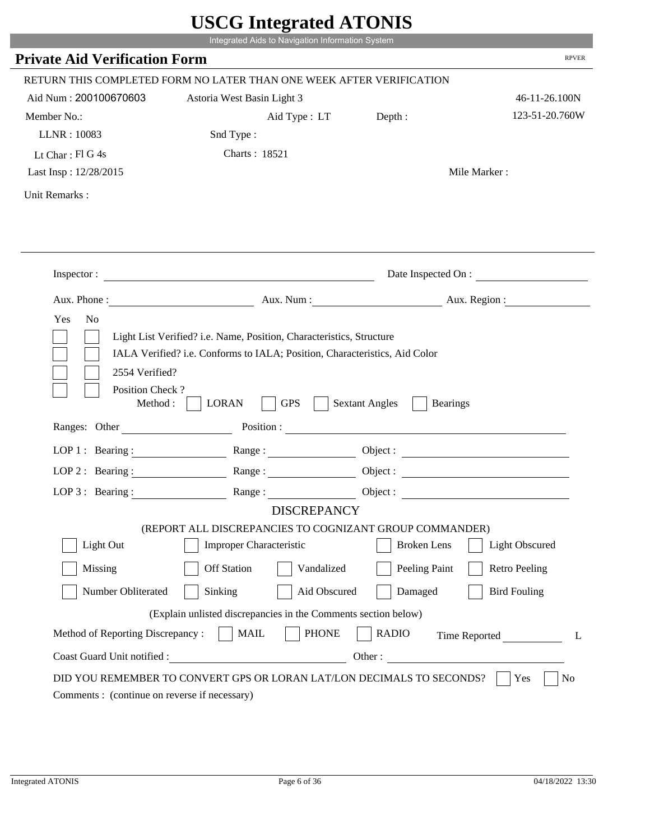|                                              | Integrated Aids to Navigation Information System                                                                                                   |                                          |                      |
|----------------------------------------------|----------------------------------------------------------------------------------------------------------------------------------------------------|------------------------------------------|----------------------|
| <b>Private Aid Verification Form</b>         |                                                                                                                                                    |                                          | <b>RPVER</b>         |
|                                              | RETURN THIS COMPLETED FORM NO LATER THAN ONE WEEK AFTER VERIFICATION                                                                               |                                          |                      |
| Aid Num: 200100670603                        | Astoria West Basin Light 3                                                                                                                         |                                          | 46-11-26.100N        |
| Member No.:                                  | Aid Type : LT Depth :                                                                                                                              |                                          | 123-51-20.760W       |
| LLNR: 10083                                  | Snd Type:                                                                                                                                          |                                          |                      |
| Lt Char: $FI$ G 4s                           | Charts: 18521                                                                                                                                      |                                          |                      |
| Last Insp: 12/28/2015                        |                                                                                                                                                    |                                          | Mile Marker:         |
| Unit Remarks:                                |                                                                                                                                                    |                                          |                      |
|                                              |                                                                                                                                                    |                                          |                      |
|                                              | Inspector:                                                                                                                                         |                                          | Date Inspected On :  |
|                                              |                                                                                                                                                    | Aux. Num: Aux. Region:                   |                      |
| Yes<br>N <sub>o</sub>                        | Light List Verified? i.e. Name, Position, Characteristics, Structure<br>IALA Verified? i.e. Conforms to IALA; Position, Characteristics, Aid Color |                                          |                      |
| 2554 Verified?<br>Position Check?<br>Method: | <b>GPS</b><br><b>LORAN</b>                                                                                                                         | <b>Sextant Angles</b><br><b>Bearings</b> |                      |
| Ranges: Other                                |                                                                                                                                                    | Position :                               |                      |
|                                              | LOP 1: Bearing: Range:                                                                                                                             |                                          |                      |
| LOP $2:$ Bearing :                           | Range:                                                                                                                                             |                                          |                      |
|                                              | LOP 3: Bearing: Range: Name: Object:                                                                                                               |                                          |                      |
|                                              | <b>DISCREPANCY</b>                                                                                                                                 |                                          |                      |
| Light Out                                    | (REPORT ALL DISCREPANCIES TO COGNIZANT GROUP COMMANDER)<br><b>Improper Characteristic</b>                                                          | <b>Broken</b> Lens                       | Light Obscured       |
|                                              |                                                                                                                                                    |                                          |                      |
| Missing                                      | <b>Off Station</b><br>Vandalized                                                                                                                   | Peeling Paint                            | <b>Retro Peeling</b> |
| Number Obliterated                           | Sinking<br>Aid Obscured                                                                                                                            | Damaged                                  | <b>Bird Fouling</b>  |
|                                              | (Explain unlisted discrepancies in the Comments section below)                                                                                     |                                          |                      |
| Method of Reporting Discrepancy:             | <b>PHONE</b><br><b>MAIL</b>                                                                                                                        | <b>RADIO</b>                             | Time Reported<br>L   |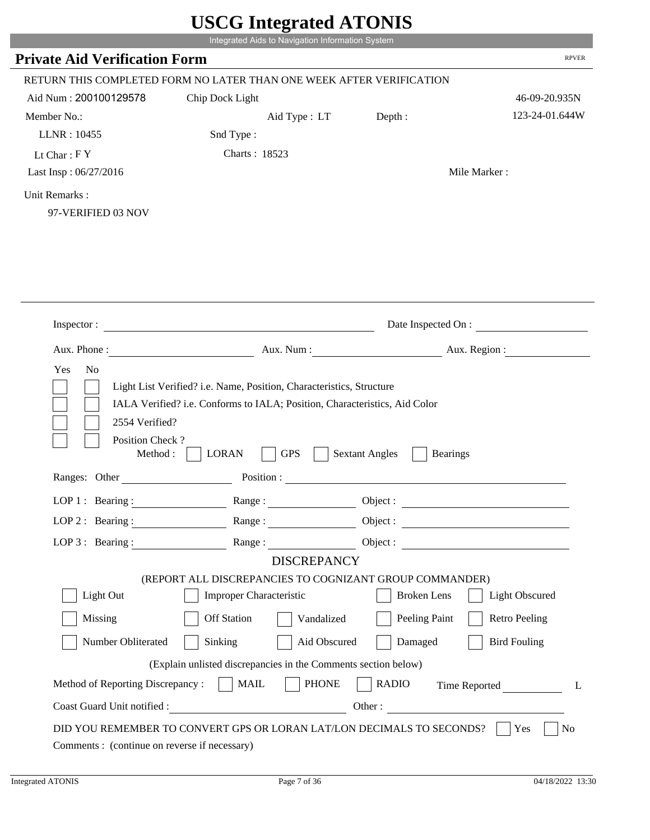| <b>Private Aid Verification Form</b><br>RETURN THIS COMPLETED FORM NO LATER THAN ONE WEEK AFTER VERIFICATION<br>Aid Num: 200100129578<br>Chip Dock Light<br>Member No.:<br>Aid Type : LT<br>Depth:<br>LLNR: 10455<br>Snd Type:<br>Charts: 18523<br>Lt Char: $FY$<br>Last Insp: 06/27/2016<br>Mile Marker:<br>Unit Remarks:<br>97-VERIFIED 03 NOV<br>Date Inspected On :<br>Inspector:<br>Aux. Num: Aux. Region:<br>Aux. Phone:<br>Yes<br>No<br>Light List Verified? i.e. Name, Position, Characteristics, Structure<br>IALA Verified? i.e. Conforms to IALA; Position, Characteristics, Aid Color<br>2554 Verified?<br>Position Check?<br><b>LORAN</b><br><b>GPS</b><br><b>Sextant Angles</b><br>Method:<br><b>Bearings</b><br>Ranges: Other<br>Position:<br>LOP $1$ : Bearing :<br>Object:<br>Range:<br>LOP 2: Bearing: Range: Range: Object:<br>Range:<br>$LOP$ 3 : Bearing :<br><b>DISCREPANCY</b><br>(REPORT ALL DISCREPANCIES TO COGNIZANT GROUP COMMANDER)<br>Light Out<br><b>Improper Characteristic</b><br><b>Broken</b> Lens<br><b>Light Obscured</b><br><b>Off Station</b><br>Peeling Paint<br><b>Retro Peeling</b><br>Missing<br>Vandalized<br><b>Bird Fouling</b><br>Number Obliterated<br>Sinking<br>Aid Obscured<br>Damaged<br>(Explain unlisted discrepancies in the Comments section below)<br>Method of Reporting Discrepancy :     MAIL<br><b>PHONE</b><br><b>RADIO</b><br>Time Reported<br>Coast Guard Unit notified :<br>Other: | Integrated Aids to Navigation Information System |                |
|-----------------------------------------------------------------------------------------------------------------------------------------------------------------------------------------------------------------------------------------------------------------------------------------------------------------------------------------------------------------------------------------------------------------------------------------------------------------------------------------------------------------------------------------------------------------------------------------------------------------------------------------------------------------------------------------------------------------------------------------------------------------------------------------------------------------------------------------------------------------------------------------------------------------------------------------------------------------------------------------------------------------------------------------------------------------------------------------------------------------------------------------------------------------------------------------------------------------------------------------------------------------------------------------------------------------------------------------------------------------------------------------------------------------------------------------------------|--------------------------------------------------|----------------|
|                                                                                                                                                                                                                                                                                                                                                                                                                                                                                                                                                                                                                                                                                                                                                                                                                                                                                                                                                                                                                                                                                                                                                                                                                                                                                                                                                                                                                                                     |                                                  | <b>RPVER</b>   |
|                                                                                                                                                                                                                                                                                                                                                                                                                                                                                                                                                                                                                                                                                                                                                                                                                                                                                                                                                                                                                                                                                                                                                                                                                                                                                                                                                                                                                                                     |                                                  |                |
|                                                                                                                                                                                                                                                                                                                                                                                                                                                                                                                                                                                                                                                                                                                                                                                                                                                                                                                                                                                                                                                                                                                                                                                                                                                                                                                                                                                                                                                     |                                                  | 46-09-20.935N  |
|                                                                                                                                                                                                                                                                                                                                                                                                                                                                                                                                                                                                                                                                                                                                                                                                                                                                                                                                                                                                                                                                                                                                                                                                                                                                                                                                                                                                                                                     |                                                  | 123-24-01.644W |
|                                                                                                                                                                                                                                                                                                                                                                                                                                                                                                                                                                                                                                                                                                                                                                                                                                                                                                                                                                                                                                                                                                                                                                                                                                                                                                                                                                                                                                                     |                                                  |                |
|                                                                                                                                                                                                                                                                                                                                                                                                                                                                                                                                                                                                                                                                                                                                                                                                                                                                                                                                                                                                                                                                                                                                                                                                                                                                                                                                                                                                                                                     |                                                  |                |
|                                                                                                                                                                                                                                                                                                                                                                                                                                                                                                                                                                                                                                                                                                                                                                                                                                                                                                                                                                                                                                                                                                                                                                                                                                                                                                                                                                                                                                                     |                                                  |                |
|                                                                                                                                                                                                                                                                                                                                                                                                                                                                                                                                                                                                                                                                                                                                                                                                                                                                                                                                                                                                                                                                                                                                                                                                                                                                                                                                                                                                                                                     |                                                  |                |
|                                                                                                                                                                                                                                                                                                                                                                                                                                                                                                                                                                                                                                                                                                                                                                                                                                                                                                                                                                                                                                                                                                                                                                                                                                                                                                                                                                                                                                                     |                                                  |                |
|                                                                                                                                                                                                                                                                                                                                                                                                                                                                                                                                                                                                                                                                                                                                                                                                                                                                                                                                                                                                                                                                                                                                                                                                                                                                                                                                                                                                                                                     |                                                  |                |
|                                                                                                                                                                                                                                                                                                                                                                                                                                                                                                                                                                                                                                                                                                                                                                                                                                                                                                                                                                                                                                                                                                                                                                                                                                                                                                                                                                                                                                                     |                                                  |                |
|                                                                                                                                                                                                                                                                                                                                                                                                                                                                                                                                                                                                                                                                                                                                                                                                                                                                                                                                                                                                                                                                                                                                                                                                                                                                                                                                                                                                                                                     |                                                  |                |
|                                                                                                                                                                                                                                                                                                                                                                                                                                                                                                                                                                                                                                                                                                                                                                                                                                                                                                                                                                                                                                                                                                                                                                                                                                                                                                                                                                                                                                                     |                                                  |                |
|                                                                                                                                                                                                                                                                                                                                                                                                                                                                                                                                                                                                                                                                                                                                                                                                                                                                                                                                                                                                                                                                                                                                                                                                                                                                                                                                                                                                                                                     |                                                  |                |
|                                                                                                                                                                                                                                                                                                                                                                                                                                                                                                                                                                                                                                                                                                                                                                                                                                                                                                                                                                                                                                                                                                                                                                                                                                                                                                                                                                                                                                                     |                                                  |                |
|                                                                                                                                                                                                                                                                                                                                                                                                                                                                                                                                                                                                                                                                                                                                                                                                                                                                                                                                                                                                                                                                                                                                                                                                                                                                                                                                                                                                                                                     |                                                  |                |
|                                                                                                                                                                                                                                                                                                                                                                                                                                                                                                                                                                                                                                                                                                                                                                                                                                                                                                                                                                                                                                                                                                                                                                                                                                                                                                                                                                                                                                                     |                                                  |                |
|                                                                                                                                                                                                                                                                                                                                                                                                                                                                                                                                                                                                                                                                                                                                                                                                                                                                                                                                                                                                                                                                                                                                                                                                                                                                                                                                                                                                                                                     |                                                  |                |
|                                                                                                                                                                                                                                                                                                                                                                                                                                                                                                                                                                                                                                                                                                                                                                                                                                                                                                                                                                                                                                                                                                                                                                                                                                                                                                                                                                                                                                                     |                                                  |                |
|                                                                                                                                                                                                                                                                                                                                                                                                                                                                                                                                                                                                                                                                                                                                                                                                                                                                                                                                                                                                                                                                                                                                                                                                                                                                                                                                                                                                                                                     |                                                  |                |
|                                                                                                                                                                                                                                                                                                                                                                                                                                                                                                                                                                                                                                                                                                                                                                                                                                                                                                                                                                                                                                                                                                                                                                                                                                                                                                                                                                                                                                                     |                                                  |                |
|                                                                                                                                                                                                                                                                                                                                                                                                                                                                                                                                                                                                                                                                                                                                                                                                                                                                                                                                                                                                                                                                                                                                                                                                                                                                                                                                                                                                                                                     |                                                  |                |
|                                                                                                                                                                                                                                                                                                                                                                                                                                                                                                                                                                                                                                                                                                                                                                                                                                                                                                                                                                                                                                                                                                                                                                                                                                                                                                                                                                                                                                                     |                                                  |                |
|                                                                                                                                                                                                                                                                                                                                                                                                                                                                                                                                                                                                                                                                                                                                                                                                                                                                                                                                                                                                                                                                                                                                                                                                                                                                                                                                                                                                                                                     |                                                  |                |
|                                                                                                                                                                                                                                                                                                                                                                                                                                                                                                                                                                                                                                                                                                                                                                                                                                                                                                                                                                                                                                                                                                                                                                                                                                                                                                                                                                                                                                                     |                                                  |                |
|                                                                                                                                                                                                                                                                                                                                                                                                                                                                                                                                                                                                                                                                                                                                                                                                                                                                                                                                                                                                                                                                                                                                                                                                                                                                                                                                                                                                                                                     |                                                  |                |
|                                                                                                                                                                                                                                                                                                                                                                                                                                                                                                                                                                                                                                                                                                                                                                                                                                                                                                                                                                                                                                                                                                                                                                                                                                                                                                                                                                                                                                                     |                                                  |                |
|                                                                                                                                                                                                                                                                                                                                                                                                                                                                                                                                                                                                                                                                                                                                                                                                                                                                                                                                                                                                                                                                                                                                                                                                                                                                                                                                                                                                                                                     |                                                  |                |
|                                                                                                                                                                                                                                                                                                                                                                                                                                                                                                                                                                                                                                                                                                                                                                                                                                                                                                                                                                                                                                                                                                                                                                                                                                                                                                                                                                                                                                                     |                                                  |                |
|                                                                                                                                                                                                                                                                                                                                                                                                                                                                                                                                                                                                                                                                                                                                                                                                                                                                                                                                                                                                                                                                                                                                                                                                                                                                                                                                                                                                                                                     |                                                  |                |
|                                                                                                                                                                                                                                                                                                                                                                                                                                                                                                                                                                                                                                                                                                                                                                                                                                                                                                                                                                                                                                                                                                                                                                                                                                                                                                                                                                                                                                                     |                                                  |                |
|                                                                                                                                                                                                                                                                                                                                                                                                                                                                                                                                                                                                                                                                                                                                                                                                                                                                                                                                                                                                                                                                                                                                                                                                                                                                                                                                                                                                                                                     |                                                  |                |
|                                                                                                                                                                                                                                                                                                                                                                                                                                                                                                                                                                                                                                                                                                                                                                                                                                                                                                                                                                                                                                                                                                                                                                                                                                                                                                                                                                                                                                                     |                                                  |                |
|                                                                                                                                                                                                                                                                                                                                                                                                                                                                                                                                                                                                                                                                                                                                                                                                                                                                                                                                                                                                                                                                                                                                                                                                                                                                                                                                                                                                                                                     |                                                  |                |
|                                                                                                                                                                                                                                                                                                                                                                                                                                                                                                                                                                                                                                                                                                                                                                                                                                                                                                                                                                                                                                                                                                                                                                                                                                                                                                                                                                                                                                                     |                                                  | L              |
|                                                                                                                                                                                                                                                                                                                                                                                                                                                                                                                                                                                                                                                                                                                                                                                                                                                                                                                                                                                                                                                                                                                                                                                                                                                                                                                                                                                                                                                     |                                                  |                |
| DID YOU REMEMBER TO CONVERT GPS OR LORAN LAT/LON DECIMALS TO SECONDS?<br>Yes                                                                                                                                                                                                                                                                                                                                                                                                                                                                                                                                                                                                                                                                                                                                                                                                                                                                                                                                                                                                                                                                                                                                                                                                                                                                                                                                                                        |                                                  | No             |

P.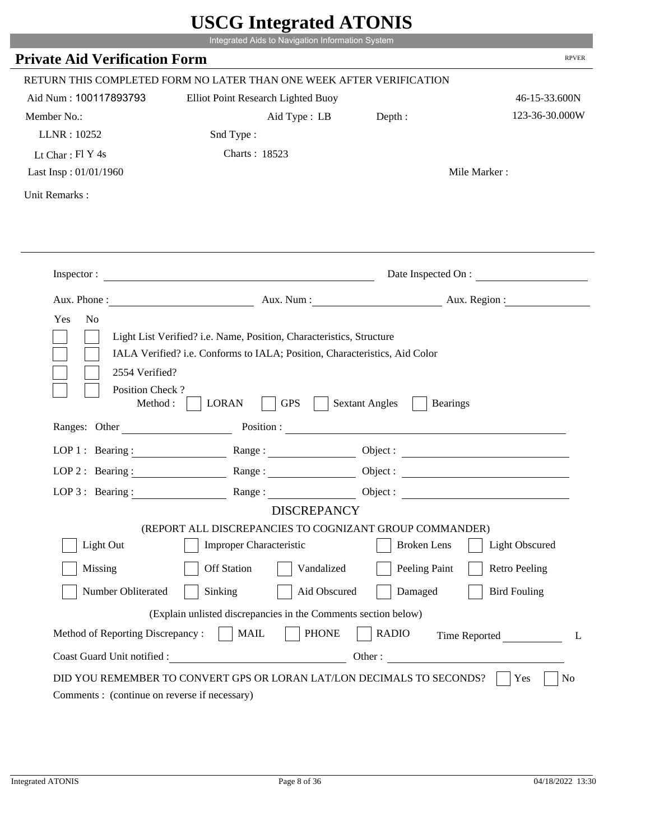|                                                                 |                                                                                                                                                    | $\sim$ $\sim$ $\sim$ $\sim$ $\sim$ $\sim$ $\sim$ |                       |
|-----------------------------------------------------------------|----------------------------------------------------------------------------------------------------------------------------------------------------|--------------------------------------------------|-----------------------|
|                                                                 | Integrated Aids to Navigation Information System                                                                                                   |                                                  |                       |
| <b>Private Aid Verification Form</b>                            |                                                                                                                                                    |                                                  | <b>RPVER</b>          |
|                                                                 | RETURN THIS COMPLETED FORM NO LATER THAN ONE WEEK AFTER VERIFICATION                                                                               |                                                  |                       |
| Aid Num: 100117893793                                           | Elliot Point Research Lighted Buoy                                                                                                                 |                                                  | 46-15-33.600N         |
| Member No.:                                                     | Aid Type : LB Depth :                                                                                                                              |                                                  | 123-36-30.000W        |
| LLNR: 10252                                                     | Snd Type:                                                                                                                                          |                                                  |                       |
| Lt Char: $FI Y 4s$                                              | Charts: 18523                                                                                                                                      |                                                  |                       |
| Last Insp: 01/01/1960                                           |                                                                                                                                                    |                                                  | Mile Marker:          |
| Unit Remarks:                                                   |                                                                                                                                                    |                                                  |                       |
|                                                                 |                                                                                                                                                    |                                                  |                       |
|                                                                 |                                                                                                                                                    |                                                  |                       |
|                                                                 |                                                                                                                                                    |                                                  | Date Inspected On :   |
|                                                                 | Aux. Phone: Aux. Num : Aux. Num : Aux. Region :                                                                                                    |                                                  |                       |
| Yes<br>N <sub>o</sub>                                           | Light List Verified? i.e. Name, Position, Characteristics, Structure<br>IALA Verified? i.e. Conforms to IALA; Position, Characteristics, Aid Color |                                                  |                       |
| 2554 Verified?<br>Position Check?                               | <b>GPS</b><br>Method : $\vert$<br><b>LORAN</b>                                                                                                     | <b>Sextant Angles</b><br><b>Bearings</b>         |                       |
| Ranges: Other                                                   |                                                                                                                                                    |                                                  |                       |
|                                                                 | LOP 1: Bearing: Range:                                                                                                                             |                                                  |                       |
| LOP 2: Bearing:                                                 | Range:                                                                                                                                             |                                                  |                       |
|                                                                 | LOP 3: Bearing: Range: Range: Object:                                                                                                              |                                                  |                       |
|                                                                 | <b>DISCREPANCY</b>                                                                                                                                 |                                                  |                       |
| Light Out                                                       | (REPORT ALL DISCREPANCIES TO COGNIZANT GROUP COMMANDER)<br>Improper Characteristic                                                                 | <b>Broken</b> Lens                               | <b>Light Obscured</b> |
| Missing                                                         | <b>Off Station</b><br>Vandalized                                                                                                                   |                                                  | <b>Retro Peeling</b>  |
| Number Obliterated                                              | Sinking<br>Aid Obscured                                                                                                                            | Peeling Paint<br>Damaged                         | <b>Bird Fouling</b>   |
|                                                                 |                                                                                                                                                    |                                                  |                       |
|                                                                 | (Explain unlisted discrepancies in the Comments section below)                                                                                     |                                                  |                       |
| Method of Reporting Discrepancy:<br>Coast Guard Unit notified : | <b>MAIL</b><br><b>PHONE</b><br><u> 1990 - Johann Barbara, martxa eta politikar</u>                                                                 | <b>RADIO</b><br>Other:                           | Time Reported<br>L    |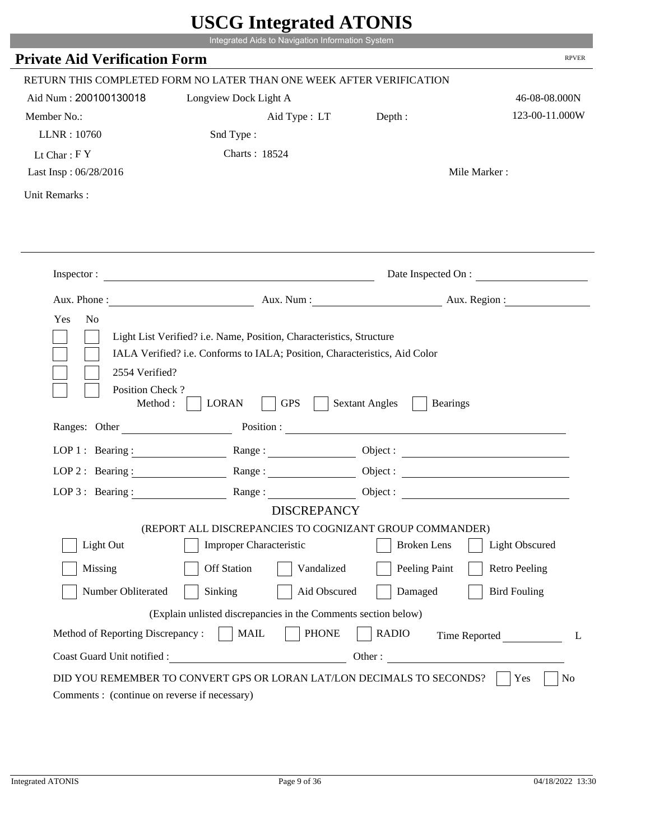|                                                                | UDUU IIIIU ARUU ATUNID                                                |                                                                                                                                                            |                       |
|----------------------------------------------------------------|-----------------------------------------------------------------------|------------------------------------------------------------------------------------------------------------------------------------------------------------|-----------------------|
|                                                                | Integrated Aids to Navigation Information System                      |                                                                                                                                                            |                       |
| <b>Private Aid Verification Form</b>                           |                                                                       |                                                                                                                                                            | <b>RPVER</b>          |
|                                                                | RETURN THIS COMPLETED FORM NO LATER THAN ONE WEEK AFTER VERIFICATION  |                                                                                                                                                            |                       |
| Aid Num: 200100130018                                          | Longview Dock Light A                                                 |                                                                                                                                                            | 46-08-08.000N         |
| Member No.:                                                    | Aid Type : LT                                                         | Depth :                                                                                                                                                    | 123-00-11.000W        |
| LLNR: 10760                                                    | Snd Type:                                                             |                                                                                                                                                            |                       |
| Lt Char: $FY$                                                  | Charts: 18524                                                         |                                                                                                                                                            |                       |
| Last Insp: 06/28/2016                                          |                                                                       |                                                                                                                                                            | Mile Marker:          |
| Unit Remarks:                                                  |                                                                       |                                                                                                                                                            |                       |
|                                                                |                                                                       |                                                                                                                                                            |                       |
|                                                                | Inspector:                                                            |                                                                                                                                                            | Date Inspected On :   |
| Aux. Phone :                                                   |                                                                       | Aux. Num: Aux. Region:                                                                                                                                     |                       |
| Yes<br>N <sub>o</sub>                                          |                                                                       |                                                                                                                                                            |                       |
| 2554 Verified?<br>Position Check?<br>Method :<br>Ranges: Other | <b>GPS</b><br><b>LORAN</b>                                            | <b>Sextant Angles</b><br><b>Bearings</b><br>Position : The Common Section of the Common Section 2014 and 2014 and 2014 and 2014 and 2014 and 2014 and 2014 |                       |
| LOP 1 : Bearing :                                              |                                                                       |                                                                                                                                                            | Object :              |
| $LOP$ 2 : Bearing :                                            | Range :                                                               |                                                                                                                                                            |                       |
| LOP $3$ : Bearing :                                            | Range:                                                                |                                                                                                                                                            |                       |
|                                                                | <b>DISCREPANCY</b>                                                    |                                                                                                                                                            |                       |
|                                                                | (REPORT ALL DISCREPANCIES TO COGNIZANT GROUP COMMANDER)               |                                                                                                                                                            |                       |
| Light Out                                                      | <b>Improper Characteristic</b>                                        | <b>Broken</b> Lens                                                                                                                                         | <b>Light Obscured</b> |
| Missing                                                        | <b>Off Station</b><br>Vandalized                                      | Peeling Paint                                                                                                                                              | <b>Retro Peeling</b>  |
| Number Obliterated                                             | Sinking                                                               | Aid Obscured<br>Damaged                                                                                                                                    | <b>Bird Fouling</b>   |
|                                                                | (Explain unlisted discrepancies in the Comments section below)        |                                                                                                                                                            |                       |
| Method of Reporting Discrepancy:                               | <b>PHONE</b><br><b>MAIL</b>                                           | <b>RADIO</b>                                                                                                                                               | Time Reported<br>L    |
| Coast Guard Unit notified :                                    | <u> 1980 - Johann Barbara, martin d</u>                               | Other:                                                                                                                                                     |                       |
|                                                                | DID YOU REMEMBER TO CONVERT GPS OR LORAN LAT/LON DECIMALS TO SECONDS? |                                                                                                                                                            | N <sub>0</sub><br>Yes |
| Comments : (continue on reverse if necessary)                  |                                                                       |                                                                                                                                                            |                       |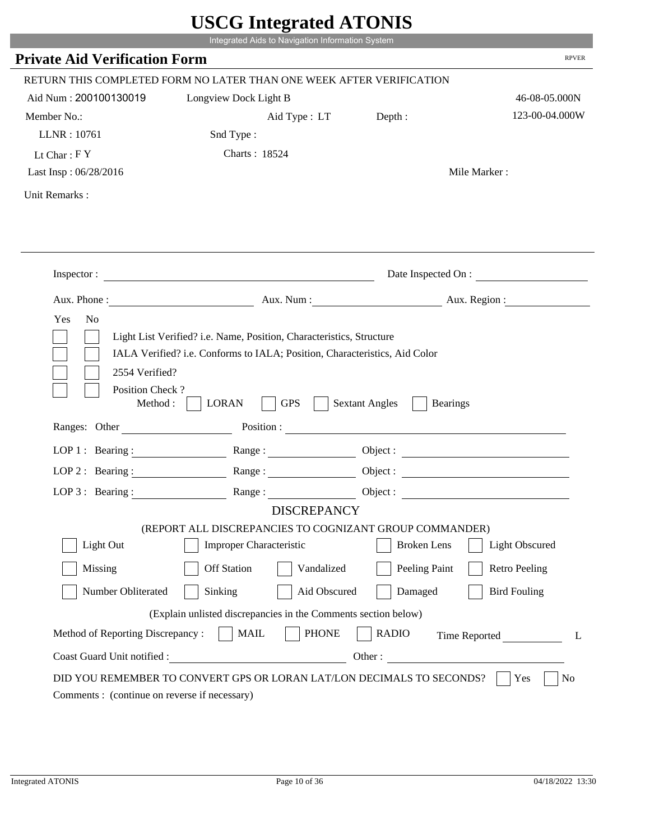|                                         | UDUU MINGLANU ATUNID                                                                                                                               |                                          |                        |
|-----------------------------------------|----------------------------------------------------------------------------------------------------------------------------------------------------|------------------------------------------|------------------------|
|                                         | Integrated Aids to Navigation Information System                                                                                                   |                                          |                        |
| <b>Private Aid Verification Form</b>    |                                                                                                                                                    |                                          | <b>RPVER</b>           |
|                                         | RETURN THIS COMPLETED FORM NO LATER THAN ONE WEEK AFTER VERIFICATION                                                                               |                                          |                        |
| Aid Num: 200100130019                   | Longview Dock Light B                                                                                                                              |                                          | 46-08-05.000N          |
| Member No.:                             | Aid Type : LT Depth :                                                                                                                              |                                          | 123-00-04.000W         |
| LLNR: 10761                             | Snd Type:                                                                                                                                          |                                          |                        |
| Lt Char: $FY$                           | Charts: 18524                                                                                                                                      |                                          |                        |
| Last Insp: 06/28/2016                   |                                                                                                                                                    |                                          | Mile Marker:           |
| Unit Remarks:                           |                                                                                                                                                    |                                          |                        |
|                                         |                                                                                                                                                    |                                          |                        |
|                                         |                                                                                                                                                    |                                          |                        |
|                                         | Inspector:                                                                                                                                         |                                          | Date Inspected On :    |
|                                         |                                                                                                                                                    |                                          | Aux. Num: Aux. Region: |
| Yes<br>N <sub>o</sub><br>2554 Verified? | Light List Verified? i.e. Name, Position, Characteristics, Structure<br>IALA Verified? i.e. Conforms to IALA; Position, Characteristics, Aid Color |                                          |                        |
| Position Check?<br>Method:              | <b>GPS</b><br><b>LORAN</b>                                                                                                                         | <b>Sextant Angles</b><br><b>Bearings</b> |                        |
| Ranges: Other                           |                                                                                                                                                    | Position :                               |                        |
|                                         | LOP 1: Bearing: Range:                                                                                                                             |                                          |                        |
| LOP $2:$ Bearing :                      | Range:                                                                                                                                             |                                          |                        |
|                                         | LOP 3: Bearing: Range: Name: Object:                                                                                                               |                                          |                        |
|                                         | <b>DISCREPANCY</b>                                                                                                                                 |                                          |                        |
| Light Out                               | (REPORT ALL DISCREPANCIES TO COGNIZANT GROUP COMMANDER)<br>Improper Characteristic                                                                 | <b>Broken</b> Lens                       | Light Obscured         |
| Missing                                 | <b>Off Station</b><br>Vandalized                                                                                                                   | Peeling Paint                            | <b>Retro Peeling</b>   |
| Number Obliterated                      | Sinking<br>Aid Obscured                                                                                                                            | Damaged                                  | <b>Bird Fouling</b>    |
|                                         | (Explain unlisted discrepancies in the Comments section below)                                                                                     |                                          |                        |
| Method of Reporting Discrepancy:        | <b>PHONE</b><br><b>MAIL</b>                                                                                                                        | <b>RADIO</b>                             | Time Reported<br>L     |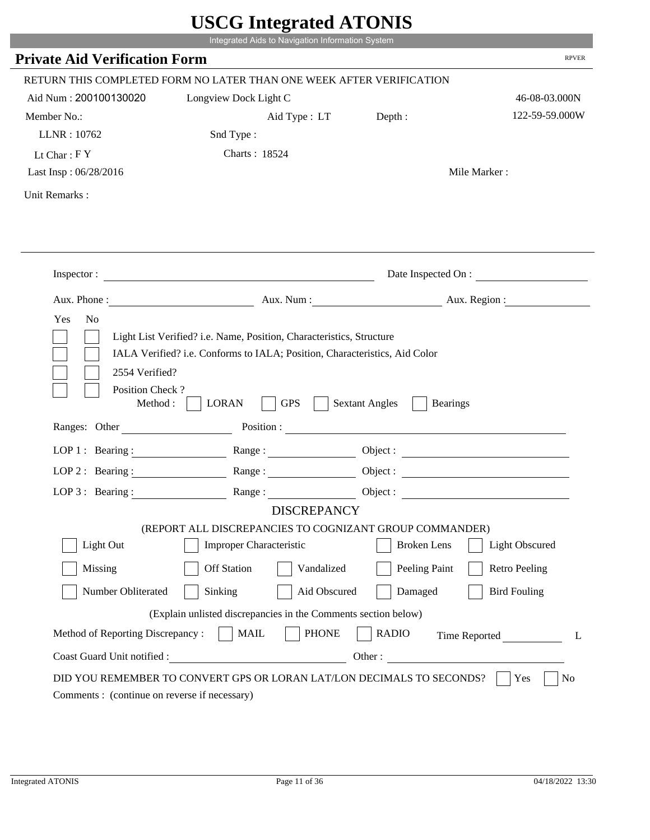|                                                                 | UDUU IIIIU ARUU ATUNID<br>Integrated Aids to Navigation Information System                                                                         |                                                                                                                |                                 |
|-----------------------------------------------------------------|----------------------------------------------------------------------------------------------------------------------------------------------------|----------------------------------------------------------------------------------------------------------------|---------------------------------|
| <b>Private Aid Verification Form</b>                            |                                                                                                                                                    |                                                                                                                | <b>RPVER</b>                    |
|                                                                 |                                                                                                                                                    |                                                                                                                |                                 |
| Aid Num: 200100130020                                           | RETURN THIS COMPLETED FORM NO LATER THAN ONE WEEK AFTER VERIFICATION                                                                               |                                                                                                                |                                 |
|                                                                 | Longview Dock Light C                                                                                                                              |                                                                                                                | 46-08-03.000N<br>122-59-59.000W |
| Member No.:<br>LLNR: 10762                                      | Aid Type : LT Depth :<br>Snd Type:                                                                                                                 |                                                                                                                |                                 |
| Lt Char: $FY$                                                   | Charts: 18524                                                                                                                                      |                                                                                                                |                                 |
| Last Insp: 06/28/2016                                           |                                                                                                                                                    |                                                                                                                | Mile Marker:                    |
| Unit Remarks:                                                   |                                                                                                                                                    |                                                                                                                |                                 |
|                                                                 |                                                                                                                                                    |                                                                                                                |                                 |
|                                                                 |                                                                                                                                                    |                                                                                                                |                                 |
|                                                                 | Inspector:                                                                                                                                         |                                                                                                                | Date Inspected On :             |
| Aux. Phone :                                                    |                                                                                                                                                    |                                                                                                                | Aux. Num: Aux. Region:          |
|                                                                 | Light List Verified? i.e. Name, Position, Characteristics, Structure<br>IALA Verified? i.e. Conforms to IALA; Position, Characteristics, Aid Color |                                                                                                                |                                 |
| 2554 Verified?<br>Position Check?<br>Method :                   | <b>GPS</b><br><b>LORAN</b>                                                                                                                         | <b>Sextant Angles</b><br><b>Bearings</b>                                                                       |                                 |
| Ranges: Other                                                   |                                                                                                                                                    | Position : The Common Section of the Common Section 2014 and 2014 and 2014 and 2014 and 2014 and 2014 and 2014 |                                 |
| LOP 1 : Bearing : $\qquad \qquad$                               |                                                                                                                                                    |                                                                                                                | Object :                        |
| $LOP$ 2 : Bearing :                                             | Range :                                                                                                                                            |                                                                                                                |                                 |
| LOP $3$ : Bearing :                                             | Range:                                                                                                                                             |                                                                                                                |                                 |
|                                                                 | <b>DISCREPANCY</b><br>(REPORT ALL DISCREPANCIES TO COGNIZANT GROUP COMMANDER)                                                                      |                                                                                                                |                                 |
| Light Out                                                       | <b>Improper Characteristic</b>                                                                                                                     | <b>Broken</b> Lens                                                                                             | <b>Light Obscured</b>           |
| Missing                                                         | <b>Off Station</b><br>Vandalized                                                                                                                   | Peeling Paint                                                                                                  | <b>Retro Peeling</b>            |
| Number Obliterated                                              | Sinking<br>Aid Obscured                                                                                                                            | Damaged                                                                                                        | <b>Bird Fouling</b>             |
|                                                                 |                                                                                                                                                    |                                                                                                                |                                 |
|                                                                 | (Explain unlisted discrepancies in the Comments section below)                                                                                     |                                                                                                                |                                 |
| Method of Reporting Discrepancy:<br>Coast Guard Unit notified : | <b>PHONE</b><br><b>MAIL</b><br><u> 1980 - Johann Barbara, martin d</u>                                                                             | <b>RADIO</b><br>Other:                                                                                         | Time Reported<br>L              |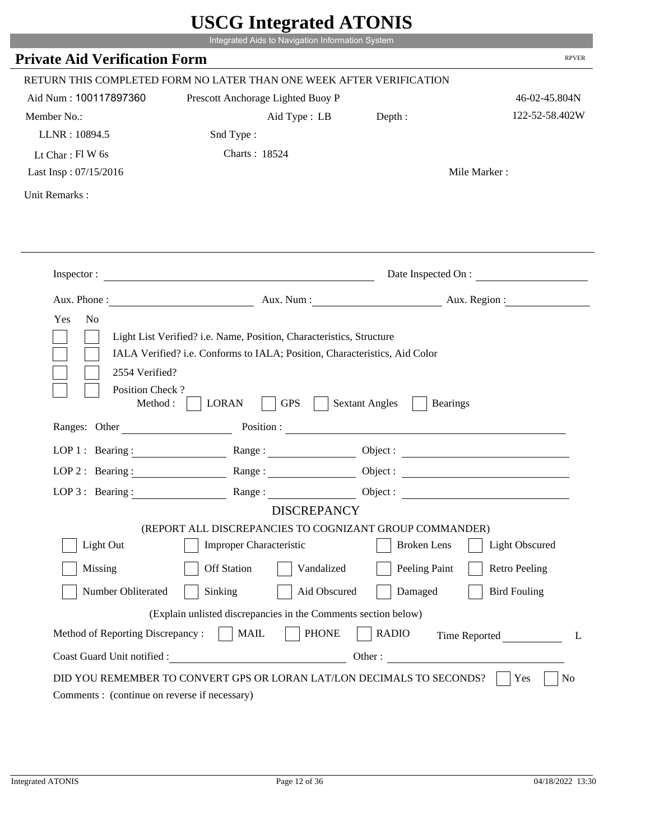|                                                                 | Integrated Aids to Navigation Information System                                                                                                   |                                                        |                      |
|-----------------------------------------------------------------|----------------------------------------------------------------------------------------------------------------------------------------------------|--------------------------------------------------------|----------------------|
| <b>Private Aid Verification Form</b>                            |                                                                                                                                                    |                                                        | <b>RPVER</b>         |
|                                                                 | RETURN THIS COMPLETED FORM NO LATER THAN ONE WEEK AFTER VERIFICATION                                                                               |                                                        |                      |
| Aid Num: 100117897360                                           | Prescott Anchorage Lighted Buoy P                                                                                                                  |                                                        | 46-02-45.804N        |
| Member No.:                                                     | Aid Type : LB                                                                                                                                      | Depth:                                                 | 122-52-58.402W       |
| LLNR: 10894.5                                                   | Snd Type:                                                                                                                                          |                                                        |                      |
| Lt Char: $Fl$ W 6s                                              | Charts: 18524                                                                                                                                      |                                                        |                      |
| Last Insp: 07/15/2016                                           |                                                                                                                                                    |                                                        | Mile Marker:         |
| Unit Remarks:                                                   |                                                                                                                                                    |                                                        |                      |
|                                                                 |                                                                                                                                                    |                                                        |                      |
|                                                                 | Inspector:                                                                                                                                         |                                                        | Date Inspected On :  |
| Aux. Phone :                                                    |                                                                                                                                                    | Aux. Num: Aux. Region:                                 |                      |
| 2554 Verified?                                                  | Light List Verified? i.e. Name, Position, Characteristics, Structure<br>IALA Verified? i.e. Conforms to IALA; Position, Characteristics, Aid Color |                                                        |                      |
| Position Check?<br>Method :<br>Ranges: Other                    | <b>GPS</b><br><b>LORAN</b>                                                                                                                         | <b>Sextant Angles</b><br><b>Bearings</b><br>Position : |                      |
|                                                                 |                                                                                                                                                    |                                                        |                      |
|                                                                 | LOP 1: Bearing: $\qquad \qquad$ Range:                                                                                                             |                                                        |                      |
|                                                                 | LOP 2: Bearing: Range:                                                                                                                             |                                                        |                      |
| $LOP 3:$ Bearing :                                              | Range:<br><b>DISCREPANCY</b>                                                                                                                       |                                                        | Object:              |
|                                                                 | (REPORT ALL DISCREPANCIES TO COGNIZANT GROUP COMMANDER)                                                                                            |                                                        |                      |
| Light Out                                                       | Improper Characteristic                                                                                                                            | <b>Broken</b> Lens                                     | Light Obscured       |
| Missing                                                         | <b>Off Station</b><br>Vandalized                                                                                                                   | Peeling Paint                                          | <b>Retro Peeling</b> |
| Number Obliterated                                              | Aid Obscured<br>Sinking                                                                                                                            | Damaged                                                | <b>Bird Fouling</b>  |
|                                                                 |                                                                                                                                                    |                                                        |                      |
|                                                                 | (Explain unlisted discrepancies in the Comments section below)                                                                                     |                                                        |                      |
| Method of Reporting Discrepancy:<br>Coast Guard Unit notified : | <b>PHONE</b><br><b>MAIL</b><br>Other:                                                                                                              | <b>RADIO</b>                                           | Time Reported        |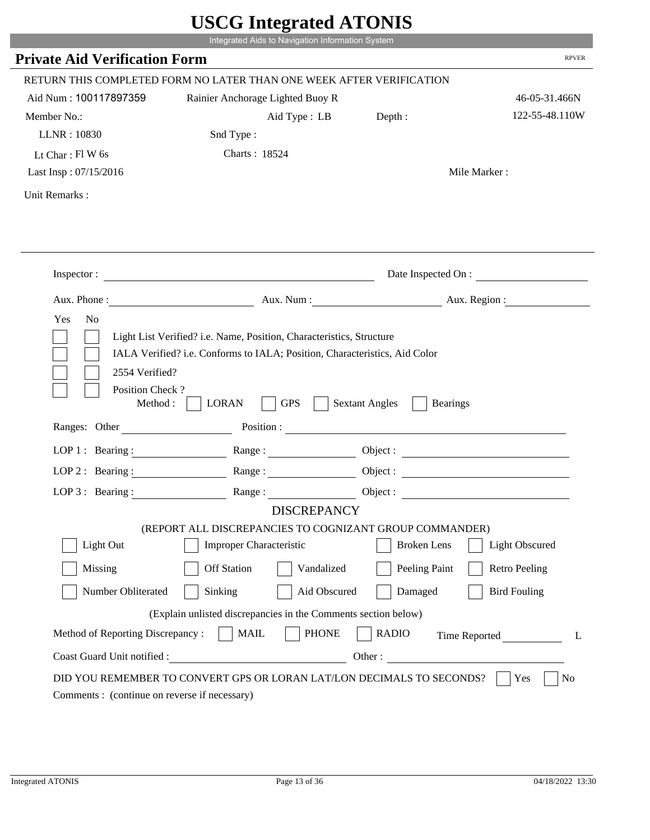|                                                                 | Integrated Aids to Navigation Information System                                                                                                   |                                          |                       |
|-----------------------------------------------------------------|----------------------------------------------------------------------------------------------------------------------------------------------------|------------------------------------------|-----------------------|
| <b>Private Aid Verification Form</b>                            |                                                                                                                                                    |                                          | <b>RPVER</b>          |
|                                                                 | RETURN THIS COMPLETED FORM NO LATER THAN ONE WEEK AFTER VERIFICATION                                                                               |                                          |                       |
| Aid Num: 100117897359                                           | Rainier Anchorage Lighted Buoy R                                                                                                                   |                                          | 46-05-31.466N         |
| Member No.:                                                     | Aid Type : LB Depth :                                                                                                                              |                                          | 122-55-48.110W        |
| LLNR: 10830                                                     | Snd Type:                                                                                                                                          |                                          |                       |
| Lt Char: $FI$ W 6s                                              | Charts: 18524                                                                                                                                      |                                          |                       |
| Last Insp: 07/15/2016                                           |                                                                                                                                                    |                                          | Mile Marker:          |
| Unit Remarks:                                                   |                                                                                                                                                    |                                          |                       |
|                                                                 |                                                                                                                                                    |                                          | Date Inspected On :   |
|                                                                 |                                                                                                                                                    |                                          |                       |
|                                                                 | Aux. Phone: Aux. Num : Aux. Num : Aux. Region :                                                                                                    |                                          |                       |
| Yes<br>N <sub>o</sub><br>2554 Verified?                         | Light List Verified? i.e. Name, Position, Characteristics, Structure<br>IALA Verified? i.e. Conforms to IALA; Position, Characteristics, Aid Color |                                          |                       |
| Position Check?<br>Method : $\vert$<br>Ranges: Other            | <b>GPS</b><br><b>LORAN</b>                                                                                                                         | <b>Sextant Angles</b><br><b>Bearings</b> |                       |
|                                                                 |                                                                                                                                                    |                                          |                       |
|                                                                 | LOP 1: Bearing: Range:                                                                                                                             |                                          |                       |
| LOP 2: Bearing:                                                 |                                                                                                                                                    |                                          |                       |
|                                                                 | LOP 3: Bearing: Range: Range: Object:                                                                                                              |                                          |                       |
|                                                                 | <b>DISCREPANCY</b><br>(REPORT ALL DISCREPANCIES TO COGNIZANT GROUP COMMANDER)                                                                      |                                          |                       |
| Light Out                                                       | Improper Characteristic                                                                                                                            | <b>Broken</b> Lens                       | <b>Light Obscured</b> |
| Missing                                                         | <b>Off Station</b><br>Vandalized                                                                                                                   | Peeling Paint                            | <b>Retro Peeling</b>  |
| Number Obliterated                                              | Sinking<br>Aid Obscured                                                                                                                            | Damaged                                  | <b>Bird Fouling</b>   |
|                                                                 |                                                                                                                                                    |                                          |                       |
|                                                                 | (Explain unlisted discrepancies in the Comments section below)                                                                                     |                                          |                       |
| Method of Reporting Discrepancy:<br>Coast Guard Unit notified : | <b>MAIL</b><br><b>PHONE</b><br><u> 1980 - Johann Barbara, martxa eta politikar</u>                                                                 | <b>RADIO</b><br>Other:                   | Time Reported<br>L    |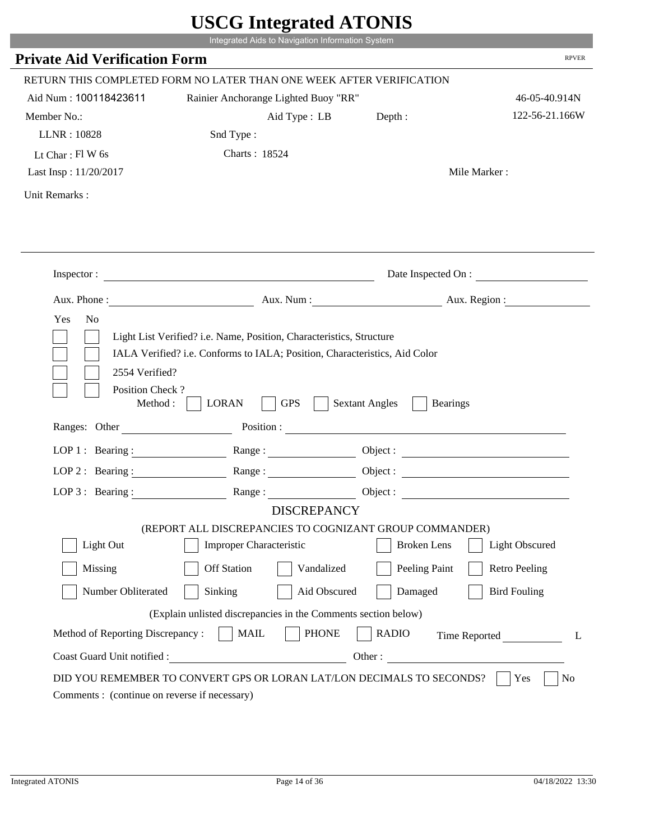|                                                                 | Integrated Aids to Navigation Information System                                                                                                   |                                          |                      |
|-----------------------------------------------------------------|----------------------------------------------------------------------------------------------------------------------------------------------------|------------------------------------------|----------------------|
| <b>Private Aid Verification Form</b>                            |                                                                                                                                                    |                                          | <b>RPVER</b>         |
|                                                                 | RETURN THIS COMPLETED FORM NO LATER THAN ONE WEEK AFTER VERIFICATION                                                                               |                                          |                      |
| Aid Num: 100118423611                                           | Rainier Anchorange Lighted Buoy "RR"                                                                                                               |                                          | 46-05-40.914N        |
| Member No.:                                                     | Aid Type : LB                                                                                                                                      | Depth:                                   | 122-56-21.166W       |
| LLNR: 10828                                                     | Snd Type:                                                                                                                                          |                                          |                      |
| Lt Char: $FI$ W 6s                                              | Charts: 18524                                                                                                                                      |                                          |                      |
| Last Insp: 11/20/2017                                           |                                                                                                                                                    |                                          | Mile Marker:         |
| Unit Remarks:                                                   |                                                                                                                                                    |                                          |                      |
|                                                                 |                                                                                                                                                    |                                          |                      |
|                                                                 | Inspector:                                                                                                                                         |                                          | Date Inspected On :  |
|                                                                 | Aux. Phone : Aux. Num : Aux. Num : Aux. Aux. Region :                                                                                              |                                          |                      |
| 2554 Verified?                                                  | Light List Verified? i.e. Name, Position, Characteristics, Structure<br>IALA Verified? i.e. Conforms to IALA; Position, Characteristics, Aid Color |                                          |                      |
| Position Check?<br>Method :                                     | <b>GPS</b><br><b>LORAN</b>                                                                                                                         | <b>Sextant Angles</b><br><b>Bearings</b> |                      |
| Ranges: Other                                                   |                                                                                                                                                    | Position :                               |                      |
| LOP 1 : Bearing :                                               | Range:                                                                                                                                             |                                          |                      |
| $LOP$ 2 : Bearing :                                             |                                                                                                                                                    |                                          |                      |
|                                                                 | LOP 3: Bearing : $\qquad \qquad$ Range :                                                                                                           |                                          |                      |
|                                                                 | <b>DISCREPANCY</b><br>(REPORT ALL DISCREPANCIES TO COGNIZANT GROUP COMMANDER)                                                                      |                                          |                      |
| Light Out                                                       | Improper Characteristic                                                                                                                            | <b>Broken</b> Lens                       | Light Obscured       |
| Missing                                                         | <b>Off Station</b><br>Vandalized                                                                                                                   | Peeling Paint                            | <b>Retro Peeling</b> |
| Number Obliterated                                              | Sinking<br>Aid Obscured                                                                                                                            | Damaged                                  | <b>Bird Fouling</b>  |
|                                                                 |                                                                                                                                                    |                                          |                      |
|                                                                 | (Explain unlisted discrepancies in the Comments section below)                                                                                     |                                          |                      |
| Method of Reporting Discrepancy:<br>Coast Guard Unit notified : | <b>MAIL</b><br><b>PHONE</b>                                                                                                                        | <b>RADIO</b><br>Other:                   | Time Reported<br>L   |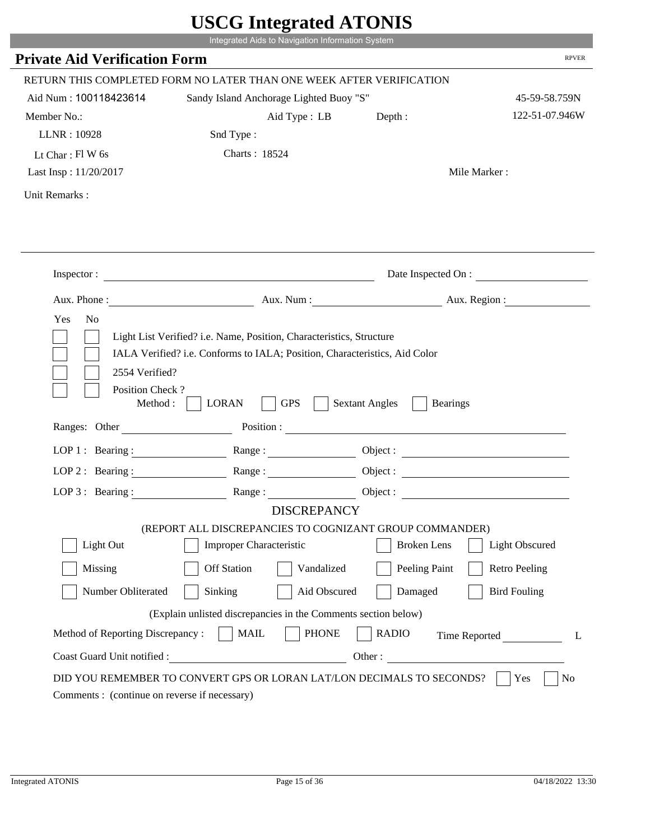|                                      | Integrated Aids to Navigation Information System                                                                                                   |                                          |                      |
|--------------------------------------|----------------------------------------------------------------------------------------------------------------------------------------------------|------------------------------------------|----------------------|
| <b>Private Aid Verification Form</b> |                                                                                                                                                    |                                          | <b>RPVER</b>         |
|                                      |                                                                                                                                                    |                                          |                      |
|                                      | RETURN THIS COMPLETED FORM NO LATER THAN ONE WEEK AFTER VERIFICATION                                                                               |                                          |                      |
| Aid Num: 100118423614                | Sandy Island Anchorage Lighted Buoy "S"                                                                                                            |                                          | 45-59-58.759N        |
| Member No.:                          | Aid Type : LB                                                                                                                                      | Depth:                                   | 122-51-07.946W       |
| LLNR: 10928                          | Snd Type:                                                                                                                                          |                                          |                      |
| Lt Char: $FI$ W 6s                   | Charts: 18524                                                                                                                                      |                                          |                      |
| Last Insp: 11/20/2017                |                                                                                                                                                    |                                          | Mile Marker:         |
| Unit Remarks:                        |                                                                                                                                                    |                                          |                      |
|                                      |                                                                                                                                                    |                                          |                      |
|                                      |                                                                                                                                                    |                                          |                      |
|                                      |                                                                                                                                                    |                                          |                      |
|                                      | Inspector:                                                                                                                                         |                                          | Date Inspected On :  |
|                                      | Aux. Phone : Aux. Num : Aux. Num : Aux. Aux. Region :                                                                                              |                                          |                      |
| 2554 Verified?                       | Light List Verified? i.e. Name, Position, Characteristics, Structure<br>IALA Verified? i.e. Conforms to IALA; Position, Characteristics, Aid Color |                                          |                      |
| Position Check?<br>Method :          | <b>GPS</b><br><b>LORAN</b>                                                                                                                         | <b>Sextant Angles</b><br><b>Bearings</b> |                      |
| Ranges: Other                        |                                                                                                                                                    | Position :                               |                      |
| LOP 1 : Bearing :                    | Range:                                                                                                                                             |                                          |                      |
| LOP $2:$ Bearing :                   | Range:                                                                                                                                             |                                          |                      |
|                                      | LOP 3: Bearing : $\qquad \qquad$ Range :                                                                                                           |                                          | Object:              |
|                                      | <b>DISCREPANCY</b>                                                                                                                                 |                                          |                      |
|                                      | (REPORT ALL DISCREPANCIES TO COGNIZANT GROUP COMMANDER)                                                                                            |                                          |                      |
| Light Out                            | Improper Characteristic                                                                                                                            | <b>Broken</b> Lens                       | Light Obscured       |
| Missing                              | <b>Off Station</b><br>Vandalized                                                                                                                   | Peeling Paint                            | <b>Retro Peeling</b> |
| Number Obliterated                   | Sinking<br>Aid Obscured                                                                                                                            | Damaged                                  | <b>Bird Fouling</b>  |
|                                      | (Explain unlisted discrepancies in the Comments section below)                                                                                     |                                          |                      |
| Method of Reporting Discrepancy:     | <b>MAIL</b><br><b>PHONE</b>                                                                                                                        | <b>RADIO</b>                             | Time Reported        |
| Coast Guard Unit notified :          |                                                                                                                                                    | Other:                                   | L                    |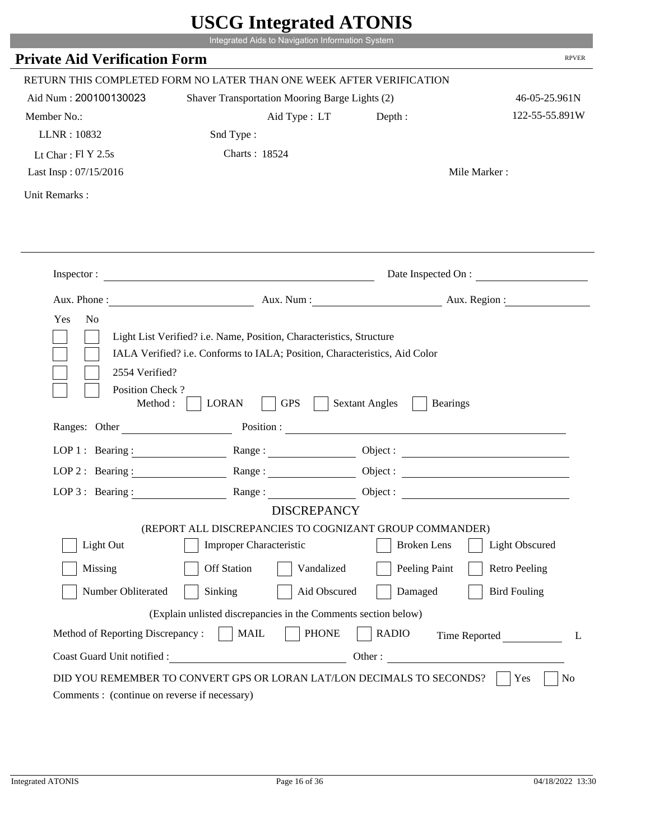|                                                                 | Integrated Aids to Navigation Information System                                                                                                   |                                                        |                       |
|-----------------------------------------------------------------|----------------------------------------------------------------------------------------------------------------------------------------------------|--------------------------------------------------------|-----------------------|
| <b>Private Aid Verification Form</b>                            |                                                                                                                                                    |                                                        | <b>RPVER</b>          |
|                                                                 | RETURN THIS COMPLETED FORM NO LATER THAN ONE WEEK AFTER VERIFICATION                                                                               |                                                        |                       |
| Aid Num: 200100130023                                           | Shaver Transportation Mooring Barge Lights (2)                                                                                                     |                                                        | 46-05-25.961N         |
| Member No.:                                                     | Aid Type : LT                                                                                                                                      | Depth:                                                 | 122-55-55.891W        |
| LLNR: 10832                                                     | Snd Type:                                                                                                                                          |                                                        |                       |
| Lt Char: $FI Y 2.5s$                                            | Charts: 18524                                                                                                                                      |                                                        |                       |
| Last Insp: 07/15/2016                                           |                                                                                                                                                    |                                                        | Mile Marker:          |
| Unit Remarks:                                                   |                                                                                                                                                    |                                                        |                       |
|                                                                 |                                                                                                                                                    |                                                        |                       |
|                                                                 | Inspector:                                                                                                                                         |                                                        | Date Inspected On :   |
| Aux. Phone :                                                    |                                                                                                                                                    | Aux. Num : Aux. Region :                               |                       |
| 2554 Verified?                                                  | Light List Verified? i.e. Name, Position, Characteristics, Structure<br>IALA Verified? i.e. Conforms to IALA; Position, Characteristics, Aid Color |                                                        |                       |
| Position Check?<br>Method :<br>Ranges: Other                    | <b>GPS</b><br><b>LORAN</b>                                                                                                                         | <b>Sextant Angles</b><br><b>Bearings</b><br>Position : |                       |
|                                                                 |                                                                                                                                                    |                                                        |                       |
|                                                                 | LOP 1: Bearing: $\qquad \qquad$ Range:                                                                                                             |                                                        |                       |
|                                                                 | LOP 2: Bearing: Range:                                                                                                                             |                                                        |                       |
| LOP $3:$ Bearing :                                              | Range:<br><b>DISCREPANCY</b>                                                                                                                       |                                                        | Object:               |
|                                                                 | (REPORT ALL DISCREPANCIES TO COGNIZANT GROUP COMMANDER)                                                                                            |                                                        |                       |
| Light Out                                                       | Improper Characteristic                                                                                                                            | <b>Broken</b> Lens                                     | <b>Light Obscured</b> |
| Missing                                                         | <b>Off Station</b><br>Vandalized                                                                                                                   | Peeling Paint                                          | <b>Retro Peeling</b>  |
| Number Obliterated                                              | Aid Obscured<br>Sinking                                                                                                                            | Damaged                                                | <b>Bird Fouling</b>   |
|                                                                 |                                                                                                                                                    |                                                        |                       |
|                                                                 | (Explain unlisted discrepancies in the Comments section below)                                                                                     |                                                        |                       |
| Method of Reporting Discrepancy:<br>Coast Guard Unit notified : | <b>PHONE</b><br><b>MAIL</b><br>Other:                                                                                                              | <b>RADIO</b>                                           | Time Reported         |

r.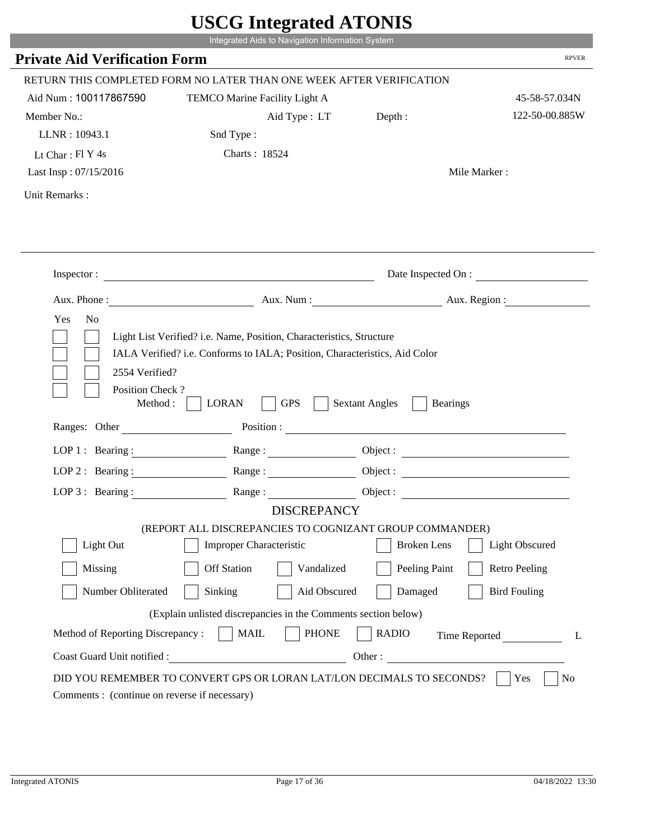|                                                                 | Integrated Aids to Navigation Information System                                                                                                   |                                                        |                      |
|-----------------------------------------------------------------|----------------------------------------------------------------------------------------------------------------------------------------------------|--------------------------------------------------------|----------------------|
| <b>Private Aid Verification Form</b>                            |                                                                                                                                                    |                                                        | <b>RPVER</b>         |
|                                                                 | RETURN THIS COMPLETED FORM NO LATER THAN ONE WEEK AFTER VERIFICATION                                                                               |                                                        |                      |
| Aid Num: 100117867590                                           | TEMCO Marine Facility Light A                                                                                                                      |                                                        | 45-58-57.034N        |
| Member No.:                                                     | Aid Type: LT                                                                                                                                       | Depth:                                                 | 122-50-00.885W       |
| LLNR: 10943.1                                                   | Snd Type:                                                                                                                                          |                                                        |                      |
| Lt Char: $FI$ Y 4s                                              | Charts: 18524                                                                                                                                      |                                                        |                      |
| Last Insp: 07/15/2016                                           |                                                                                                                                                    |                                                        | Mile Marker:         |
| Unit Remarks:                                                   |                                                                                                                                                    |                                                        |                      |
|                                                                 | Inspector:                                                                                                                                         |                                                        | Date Inspected On :  |
|                                                                 |                                                                                                                                                    |                                                        |                      |
| Aux. Phone :                                                    |                                                                                                                                                    | Aux. Num : Aux. Region :                               |                      |
| N <sub>o</sub><br>Yes<br>2554 Verified?                         | Light List Verified? i.e. Name, Position, Characteristics, Structure<br>IALA Verified? i.e. Conforms to IALA; Position, Characteristics, Aid Color |                                                        |                      |
| Position Check?<br>Method :<br>Ranges: Other                    | <b>GPS</b><br><b>LORAN</b>                                                                                                                         | <b>Sextant Angles</b><br><b>Bearings</b><br>Position : |                      |
|                                                                 |                                                                                                                                                    |                                                        |                      |
|                                                                 | LOP 1: Bearing: $\qquad \qquad \text{Range}:$                                                                                                      |                                                        |                      |
|                                                                 | LOP 2: Bearing: Range:                                                                                                                             |                                                        |                      |
| $LOP 3:$ Bearing :                                              | Range:                                                                                                                                             |                                                        | Object:              |
|                                                                 | <b>DISCREPANCY</b><br>(REPORT ALL DISCREPANCIES TO COGNIZANT GROUP COMMANDER)                                                                      |                                                        |                      |
| Light Out                                                       | Improper Characteristic                                                                                                                            | <b>Broken</b> Lens                                     | Light Obscured       |
| Missing                                                         | <b>Off Station</b><br>Vandalized                                                                                                                   | Peeling Paint                                          | <b>Retro Peeling</b> |
|                                                                 |                                                                                                                                                    |                                                        |                      |
| Number Obliterated                                              | Aid Obscured<br>Sinking                                                                                                                            | Damaged                                                | <b>Bird Fouling</b>  |
|                                                                 | (Explain unlisted discrepancies in the Comments section below)                                                                                     |                                                        |                      |
| Method of Reporting Discrepancy:<br>Coast Guard Unit notified : | <b>PHONE</b><br><b>MAIL</b><br>Other:                                                                                                              | <b>RADIO</b>                                           | Time Reported        |

i i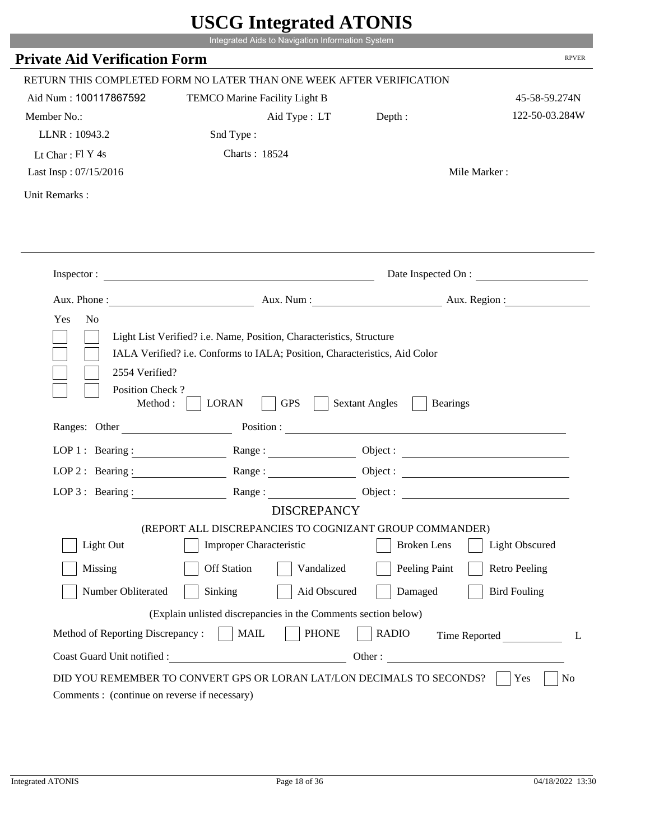|                                                                 | Integrated Aids to Navigation Information System                                                                                                   |                                                        |                       |
|-----------------------------------------------------------------|----------------------------------------------------------------------------------------------------------------------------------------------------|--------------------------------------------------------|-----------------------|
| <b>Private Aid Verification Form</b>                            |                                                                                                                                                    |                                                        | <b>RPVER</b>          |
|                                                                 | RETURN THIS COMPLETED FORM NO LATER THAN ONE WEEK AFTER VERIFICATION                                                                               |                                                        |                       |
| Aid Num: 100117867592                                           | TEMCO Marine Facility Light B                                                                                                                      |                                                        | 45-58-59.274N         |
| Member No.:                                                     | Aid Type: LT                                                                                                                                       | Depth:                                                 | 122-50-03.284W        |
| LLNR: 10943.2                                                   | Snd Type:                                                                                                                                          |                                                        |                       |
| Lt Char: Fl Y 4s                                                | Charts: 18524                                                                                                                                      |                                                        |                       |
| Last Insp: 07/15/2016                                           |                                                                                                                                                    |                                                        | Mile Marker:          |
| Unit Remarks:                                                   |                                                                                                                                                    |                                                        |                       |
|                                                                 |                                                                                                                                                    |                                                        |                       |
|                                                                 | Inspector:                                                                                                                                         |                                                        | Date Inspected On :   |
| Aux. Phone :                                                    |                                                                                                                                                    | Aux. Num : Aux. Region :                               |                       |
| 2554 Verified?                                                  | Light List Verified? i.e. Name, Position, Characteristics, Structure<br>IALA Verified? i.e. Conforms to IALA; Position, Characteristics, Aid Color |                                                        |                       |
| Position Check?<br>Method :<br>Ranges: Other                    | <b>GPS</b><br><b>LORAN</b>                                                                                                                         | <b>Sextant Angles</b><br><b>Bearings</b><br>Position : |                       |
|                                                                 |                                                                                                                                                    |                                                        |                       |
|                                                                 | LOP 1: Bearing: $\qquad \qquad \text{Range}:$                                                                                                      |                                                        |                       |
|                                                                 | LOP 2: Bearing: Range:                                                                                                                             |                                                        |                       |
| $LOP 3:$ Bearing :                                              | Range:<br><b>DISCREPANCY</b>                                                                                                                       |                                                        | Object:               |
|                                                                 | (REPORT ALL DISCREPANCIES TO COGNIZANT GROUP COMMANDER)                                                                                            |                                                        |                       |
| Light Out                                                       | Improper Characteristic                                                                                                                            | <b>Broken</b> Lens                                     | <b>Light Obscured</b> |
| Missing                                                         | <b>Off Station</b><br>Vandalized                                                                                                                   | Peeling Paint                                          | <b>Retro Peeling</b>  |
| Number Obliterated                                              | Aid Obscured<br>Sinking                                                                                                                            | Damaged                                                | <b>Bird Fouling</b>   |
|                                                                 |                                                                                                                                                    |                                                        |                       |
|                                                                 | (Explain unlisted discrepancies in the Comments section below)                                                                                     |                                                        |                       |
| Method of Reporting Discrepancy:<br>Coast Guard Unit notified : | <b>PHONE</b><br><b>MAIL</b><br>Other:                                                                                                              | <b>RADIO</b>                                           | Time Reported         |

i i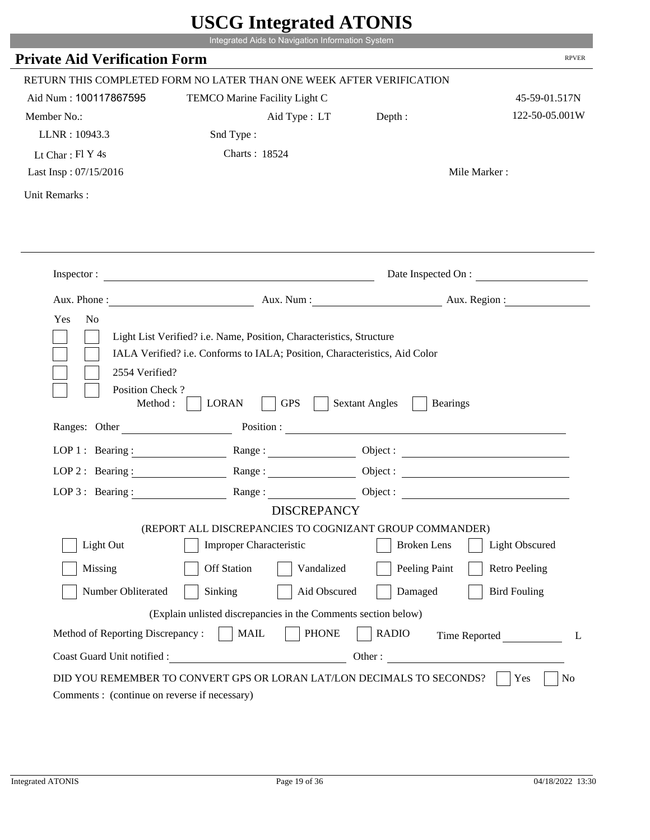|                                             | Integrated Aids to Navigation Information System                                                                                                   |                       |                               |
|---------------------------------------------|----------------------------------------------------------------------------------------------------------------------------------------------------|-----------------------|-------------------------------|
| <b>Private Aid Verification Form</b>        |                                                                                                                                                    |                       | <b>RPVER</b>                  |
|                                             | RETURN THIS COMPLETED FORM NO LATER THAN ONE WEEK AFTER VERIFICATION                                                                               |                       |                               |
| Aid Num: 100117867595                       | TEMCO Marine Facility Light C                                                                                                                      |                       | 45-59-01.517N                 |
| Member No.:                                 | Aid Type : LT Depth :                                                                                                                              |                       | 122-50-05.001W                |
| LLNR: 10943.3                               | Snd Type:                                                                                                                                          |                       |                               |
| Lt Char: $FI Y 4s$                          | Charts: 18524                                                                                                                                      |                       |                               |
| Last Insp: 07/15/2016                       |                                                                                                                                                    |                       | Mile Marker:                  |
| Unit Remarks:                               |                                                                                                                                                    |                       |                               |
|                                             |                                                                                                                                                    |                       |                               |
|                                             | Inspector:                                                                                                                                         |                       | Date Inspected On :           |
|                                             |                                                                                                                                                    |                       | Aux. Num: Aux. Region:        |
| 2554 Verified?                              | Light List Verified? i.e. Name, Position, Characteristics, Structure<br>IALA Verified? i.e. Conforms to IALA; Position, Characteristics, Aid Color |                       |                               |
| Position Check?<br>Method:<br>Ranges: Other | <b>GPS</b><br><b>LORAN</b>                                                                                                                         | <b>Sextant Angles</b> | <b>Bearings</b>               |
|                                             |                                                                                                                                                    | Position :            |                               |
|                                             | LOP 1: Bearing: Range:                                                                                                                             |                       |                               |
| LOP $2:$ Bearing :                          | Range:                                                                                                                                             |                       |                               |
|                                             | LOP 3: Bearing: Range: Name: Object:                                                                                                               |                       |                               |
|                                             | <b>DISCREPANCY</b><br>(REPORT ALL DISCREPANCIES TO COGNIZANT GROUP COMMANDER)                                                                      |                       |                               |
| Light Out                                   | Improper Characteristic                                                                                                                            | <b>Broken</b> Lens    | Light Obscured                |
| Missing                                     | <b>Off Station</b><br>Vandalized                                                                                                                   | Peeling Paint         | <b>Retro Peeling</b>          |
| Number Obliterated                          | Sinking<br>Aid Obscured                                                                                                                            | Damaged               | <b>Bird Fouling</b>           |
|                                             | (Explain unlisted discrepancies in the Comments section below)                                                                                     |                       |                               |
| Method of Reporting Discrepancy:            | <b>PHONE</b><br><b>MAIL</b>                                                                                                                        | <b>RADIO</b>          |                               |
| Coast Guard Unit notified :                 | <u> 1980 - Johann Barn, mars eta bainar eta i</u>                                                                                                  |                       | Time Reported<br>L<br>Other : |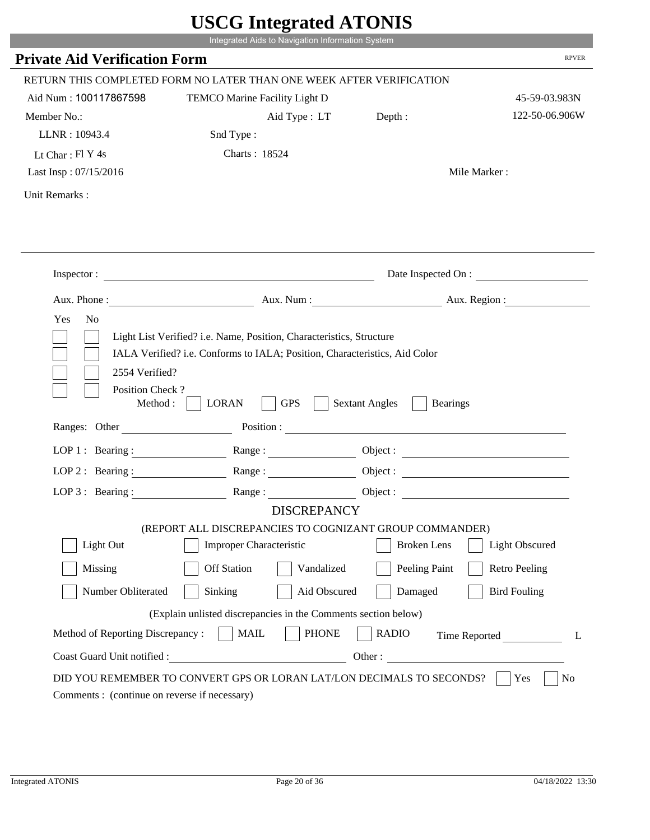|                                             | Integrated Aids to Navigation Information System                                                                                                   |                       |                               |
|---------------------------------------------|----------------------------------------------------------------------------------------------------------------------------------------------------|-----------------------|-------------------------------|
| <b>Private Aid Verification Form</b>        |                                                                                                                                                    |                       | <b>RPVER</b>                  |
|                                             | RETURN THIS COMPLETED FORM NO LATER THAN ONE WEEK AFTER VERIFICATION                                                                               |                       |                               |
| Aid Num: 100117867598                       | TEMCO Marine Facility Light D                                                                                                                      |                       | 45-59-03.983N                 |
| Member No.:                                 | Aid Type : LT Depth :                                                                                                                              |                       | 122-50-06.906W                |
| LLNR: 10943.4                               | Snd Type:                                                                                                                                          |                       |                               |
| Lt Char: $FI Y 4s$                          | Charts: 18524                                                                                                                                      |                       |                               |
| Last Insp: 07/15/2016                       |                                                                                                                                                    |                       | Mile Marker:                  |
| Unit Remarks:                               |                                                                                                                                                    |                       |                               |
|                                             |                                                                                                                                                    |                       |                               |
|                                             | Inspector:                                                                                                                                         |                       | Date Inspected On :           |
|                                             |                                                                                                                                                    |                       | Aux. Num: Aux. Region:        |
| 2554 Verified?                              | Light List Verified? i.e. Name, Position, Characteristics, Structure<br>IALA Verified? i.e. Conforms to IALA; Position, Characteristics, Aid Color |                       |                               |
| Position Check?<br>Method:<br>Ranges: Other | <b>GPS</b><br><b>LORAN</b>                                                                                                                         | <b>Sextant Angles</b> | <b>Bearings</b>               |
|                                             | Position :                                                                                                                                         |                       |                               |
|                                             | LOP 1: Bearing: Range:                                                                                                                             |                       |                               |
| LOP $2:$ Bearing :                          | Range:                                                                                                                                             |                       |                               |
|                                             | LOP 3: Bearing: Range: Name: Object:                                                                                                               |                       |                               |
|                                             | <b>DISCREPANCY</b><br>(REPORT ALL DISCREPANCIES TO COGNIZANT GROUP COMMANDER)                                                                      |                       |                               |
| Light Out                                   | Improper Characteristic                                                                                                                            | <b>Broken</b> Lens    | Light Obscured                |
| Missing                                     | <b>Off Station</b><br>Vandalized                                                                                                                   | Peeling Paint         | <b>Retro Peeling</b>          |
| Number Obliterated                          | Sinking<br>Aid Obscured                                                                                                                            | Damaged               | <b>Bird Fouling</b>           |
|                                             | (Explain unlisted discrepancies in the Comments section below)                                                                                     |                       |                               |
| Method of Reporting Discrepancy:            | <b>PHONE</b><br><b>MAIL</b>                                                                                                                        | <b>RADIO</b>          |                               |
| Coast Guard Unit notified :                 | <u> 1980 - Johann Barn, mars eta bainar eta i</u>                                                                                                  |                       | Time Reported<br>L<br>Other : |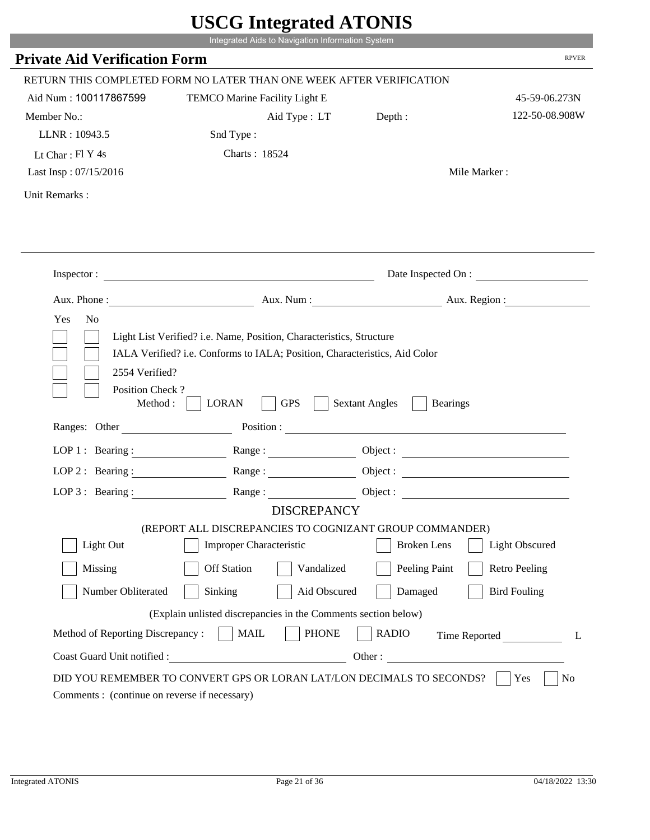|                                             | Integrated Aids to Navigation Information System                                                                                                   | UDUU IIIIU ARUU ATUNID                                                                                         |                       |
|---------------------------------------------|----------------------------------------------------------------------------------------------------------------------------------------------------|----------------------------------------------------------------------------------------------------------------|-----------------------|
| <b>Private Aid Verification Form</b>        |                                                                                                                                                    |                                                                                                                | <b>RPVER</b>          |
|                                             |                                                                                                                                                    |                                                                                                                |                       |
|                                             | RETURN THIS COMPLETED FORM NO LATER THAN ONE WEEK AFTER VERIFICATION                                                                               |                                                                                                                |                       |
| Aid Num: 100117867599                       | TEMCO Marine Facility Light E                                                                                                                      |                                                                                                                | 45-59-06.273N         |
| Member No.:                                 | Aid Type : LT Depth :                                                                                                                              |                                                                                                                | 122-50-08.908W        |
| LLNR: 10943.5                               | Snd Type:                                                                                                                                          |                                                                                                                |                       |
| Lt Char: Fl Y 4s                            | Charts: 18524                                                                                                                                      |                                                                                                                |                       |
| Last Insp: 07/15/2016                       |                                                                                                                                                    |                                                                                                                | Mile Marker:          |
| Unit Remarks:                               |                                                                                                                                                    |                                                                                                                |                       |
|                                             |                                                                                                                                                    |                                                                                                                |                       |
|                                             | Inspector:                                                                                                                                         |                                                                                                                | Date Inspected On :   |
| Aux. Phone :                                |                                                                                                                                                    | Aux. Num: Aux. Region:                                                                                         |                       |
| Yes<br>N <sub>o</sub><br>2554 Verified?     | Light List Verified? i.e. Name, Position, Characteristics, Structure<br>IALA Verified? i.e. Conforms to IALA; Position, Characteristics, Aid Color |                                                                                                                |                       |
| Position Check?<br>Method:<br>Ranges: Other | <b>GPS</b><br><b>LORAN</b>                                                                                                                         | <b>Sextant Angles</b><br><b>Bearings</b>                                                                       |                       |
|                                             |                                                                                                                                                    | Position : The Common Section of the Common Section 2014 and 2014 and 2014 and 2014 and 2014 and 2014 and 2014 |                       |
| LOP 1 : Bearing :                           |                                                                                                                                                    |                                                                                                                | Object :              |
| $LOP$ 2 : Bearing :                         | Range :                                                                                                                                            |                                                                                                                |                       |
| LOP $3$ : Bearing :                         | Range:                                                                                                                                             |                                                                                                                |                       |
|                                             | <b>DISCREPANCY</b>                                                                                                                                 |                                                                                                                |                       |
| Light Out                                   | (REPORT ALL DISCREPANCIES TO COGNIZANT GROUP COMMANDER)<br><b>Improper Characteristic</b>                                                          | <b>Broken</b> Lens                                                                                             | <b>Light Obscured</b> |
| Missing                                     | <b>Off Station</b><br>Vandalized                                                                                                                   | Peeling Paint                                                                                                  | <b>Retro Peeling</b>  |
| Number Obliterated                          | Sinking<br>Aid Obscured                                                                                                                            | Damaged                                                                                                        | <b>Bird Fouling</b>   |
|                                             | (Explain unlisted discrepancies in the Comments section below)                                                                                     |                                                                                                                |                       |
| Method of Reporting Discrepancy:            | <b>PHONE</b><br><b>MAIL</b>                                                                                                                        | <b>RADIO</b>                                                                                                   | Time Reported<br>L    |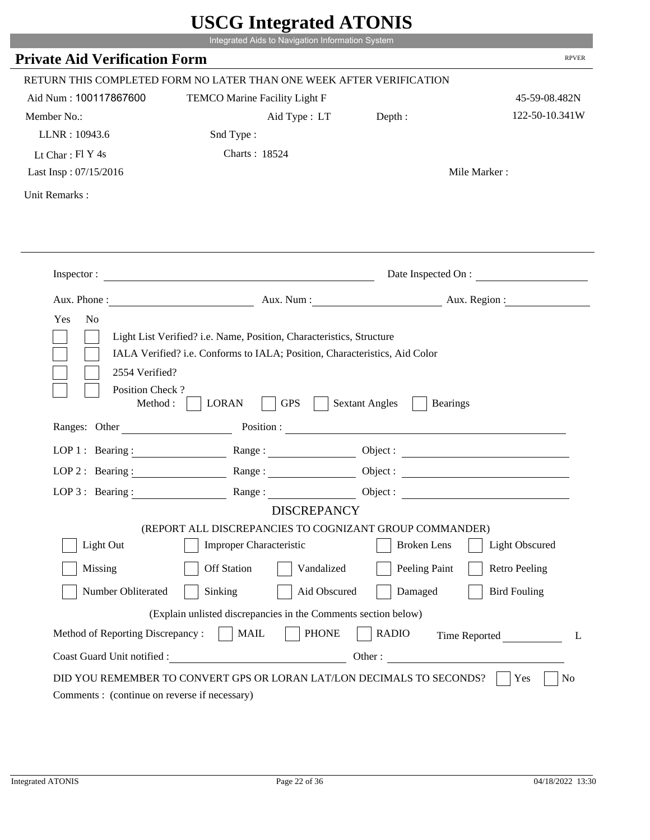|                                         | UDUU IIIIU ARUU ATUNID<br>Integrated Aids to Navigation Information System                                                                         |                                                                                                                                                                                                                                |                       |
|-----------------------------------------|----------------------------------------------------------------------------------------------------------------------------------------------------|--------------------------------------------------------------------------------------------------------------------------------------------------------------------------------------------------------------------------------|-----------------------|
| <b>Private Aid Verification Form</b>    |                                                                                                                                                    |                                                                                                                                                                                                                                | <b>RPVER</b>          |
|                                         |                                                                                                                                                    |                                                                                                                                                                                                                                |                       |
|                                         | RETURN THIS COMPLETED FORM NO LATER THAN ONE WEEK AFTER VERIFICATION                                                                               |                                                                                                                                                                                                                                |                       |
| Aid Num: 100117867600                   | TEMCO Marine Facility Light F                                                                                                                      |                                                                                                                                                                                                                                | 45-59-08.482N         |
| Member No.:                             | Aid Type : LT Depth :                                                                                                                              |                                                                                                                                                                                                                                | 122-50-10.341W        |
| LLNR: 10943.6                           | Snd Type:                                                                                                                                          |                                                                                                                                                                                                                                |                       |
| Lt Char: Fl Y 4s                        | Charts: 18524                                                                                                                                      |                                                                                                                                                                                                                                |                       |
| Last Insp: 07/15/2016                   |                                                                                                                                                    |                                                                                                                                                                                                                                | Mile Marker:          |
| Unit Remarks:                           |                                                                                                                                                    |                                                                                                                                                                                                                                |                       |
|                                         |                                                                                                                                                    |                                                                                                                                                                                                                                |                       |
|                                         | Inspector:                                                                                                                                         |                                                                                                                                                                                                                                | Date Inspected On :   |
| Aux. Phone :                            |                                                                                                                                                    | Aux. Num: Aux. Region:                                                                                                                                                                                                         |                       |
| Yes<br>N <sub>o</sub><br>2554 Verified? | Light List Verified? i.e. Name, Position, Characteristics, Structure<br>IALA Verified? i.e. Conforms to IALA; Position, Characteristics, Aid Color |                                                                                                                                                                                                                                |                       |
| Position Check?<br>Method:              | <b>GPS</b><br><b>LORAN</b>                                                                                                                         | <b>Sextant Angles</b><br><b>Bearings</b>                                                                                                                                                                                       |                       |
| Ranges: Other                           |                                                                                                                                                    | Position : The Contract of the Contract of the Contract of the Contract of the Contract of the Contract of the Contract of the Contract of the Contract of the Contract of the Contract of the Contract of the Contract of the |                       |
| LOP 1 : Bearing :                       |                                                                                                                                                    | Object :                                                                                                                                                                                                                       |                       |
| $LOP$ 2 : Bearing :                     | Range :                                                                                                                                            |                                                                                                                                                                                                                                |                       |
| LOP $3$ : Bearing :                     | Range:                                                                                                                                             |                                                                                                                                                                                                                                |                       |
|                                         | <b>DISCREPANCY</b>                                                                                                                                 |                                                                                                                                                                                                                                |                       |
| Light Out                               | (REPORT ALL DISCREPANCIES TO COGNIZANT GROUP COMMANDER)<br><b>Improper Characteristic</b>                                                          | <b>Broken</b> Lens                                                                                                                                                                                                             | <b>Light Obscured</b> |
| Missing                                 | <b>Off Station</b><br>Vandalized                                                                                                                   | Peeling Paint                                                                                                                                                                                                                  | <b>Retro Peeling</b>  |
| Number Obliterated                      | Sinking<br>Aid Obscured                                                                                                                            | Damaged                                                                                                                                                                                                                        | <b>Bird Fouling</b>   |
|                                         | (Explain unlisted discrepancies in the Comments section below)                                                                                     |                                                                                                                                                                                                                                |                       |
| Method of Reporting Discrepancy:        | <b>PHONE</b><br><b>MAIL</b>                                                                                                                        | <b>RADIO</b>                                                                                                                                                                                                                   | Time Reported<br>L    |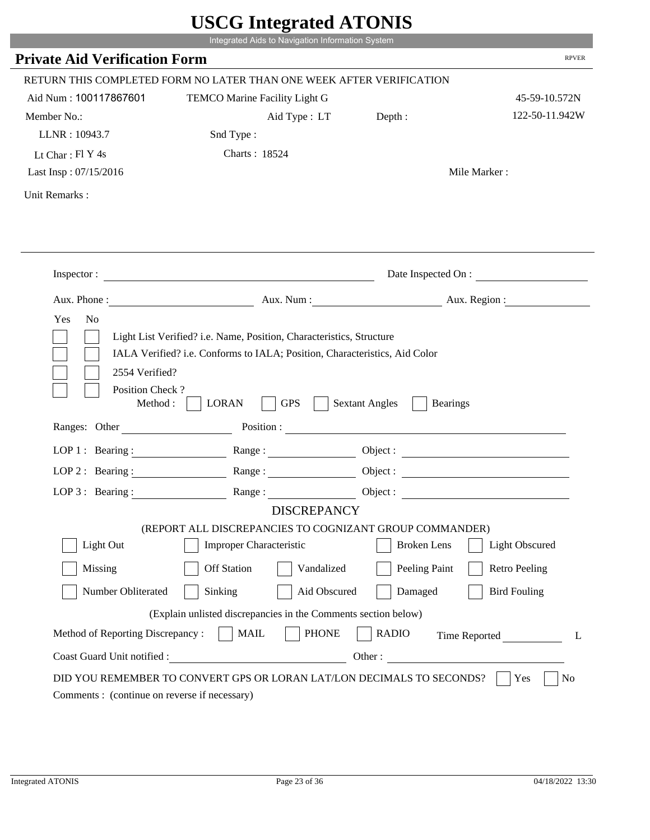|                                                                 | Integrated Aids to Navigation Information System                                                                                                   |                                                        |                       |
|-----------------------------------------------------------------|----------------------------------------------------------------------------------------------------------------------------------------------------|--------------------------------------------------------|-----------------------|
| <b>Private Aid Verification Form</b>                            |                                                                                                                                                    |                                                        | <b>RPVER</b>          |
|                                                                 | RETURN THIS COMPLETED FORM NO LATER THAN ONE WEEK AFTER VERIFICATION                                                                               |                                                        |                       |
| Aid Num: 100117867601                                           | TEMCO Marine Facility Light G                                                                                                                      |                                                        | 45-59-10.572N         |
| Member No.:                                                     | Aid Type: LT                                                                                                                                       | Depth:                                                 | 122-50-11.942W        |
| LLNR: 10943.7                                                   | Snd Type:                                                                                                                                          |                                                        |                       |
| Lt Char: Fl Y 4s                                                | Charts: 18524                                                                                                                                      |                                                        |                       |
| Last Insp: 07/15/2016                                           |                                                                                                                                                    |                                                        | Mile Marker:          |
| Unit Remarks:                                                   |                                                                                                                                                    |                                                        |                       |
|                                                                 |                                                                                                                                                    |                                                        |                       |
|                                                                 | Inspector:                                                                                                                                         |                                                        | Date Inspected On :   |
|                                                                 | Aux. Phone : Aux. Num : Aux. Num : Aux. Aux. Region :                                                                                              |                                                        |                       |
| 2554 Verified?                                                  | Light List Verified? i.e. Name, Position, Characteristics, Structure<br>IALA Verified? i.e. Conforms to IALA; Position, Characteristics, Aid Color |                                                        |                       |
| Position Check?<br>Method :<br>Ranges: Other                    | <b>GPS</b><br><b>LORAN</b>                                                                                                                         | <b>Sextant Angles</b><br><b>Bearings</b><br>Position : |                       |
|                                                                 |                                                                                                                                                    |                                                        |                       |
| LOP 1 : Bearing :                                               | Range:                                                                                                                                             |                                                        |                       |
| $LOP$ 2 : Bearing :                                             | Range:                                                                                                                                             |                                                        |                       |
|                                                                 | LOP 3: Bearing : $\qquad \qquad$ Range :<br><b>DISCREPANCY</b>                                                                                     |                                                        |                       |
|                                                                 | (REPORT ALL DISCREPANCIES TO COGNIZANT GROUP COMMANDER)                                                                                            |                                                        |                       |
| Light Out                                                       | Improper Characteristic                                                                                                                            | <b>Broken</b> Lens                                     | <b>Light Obscured</b> |
| Missing                                                         | <b>Off Station</b><br>Vandalized                                                                                                                   | Peeling Paint                                          | <b>Retro Peeling</b>  |
|                                                                 |                                                                                                                                                    |                                                        |                       |
| Number Obliterated                                              | Sinking<br>Aid Obscured                                                                                                                            | Damaged                                                | <b>Bird Fouling</b>   |
|                                                                 | (Explain unlisted discrepancies in the Comments section below)                                                                                     |                                                        |                       |
| Method of Reporting Discrepancy:<br>Coast Guard Unit notified : | <b>MAIL</b><br><b>PHONE</b>                                                                                                                        | <b>RADIO</b><br>Other:                                 | Time Reported<br>L    |

i i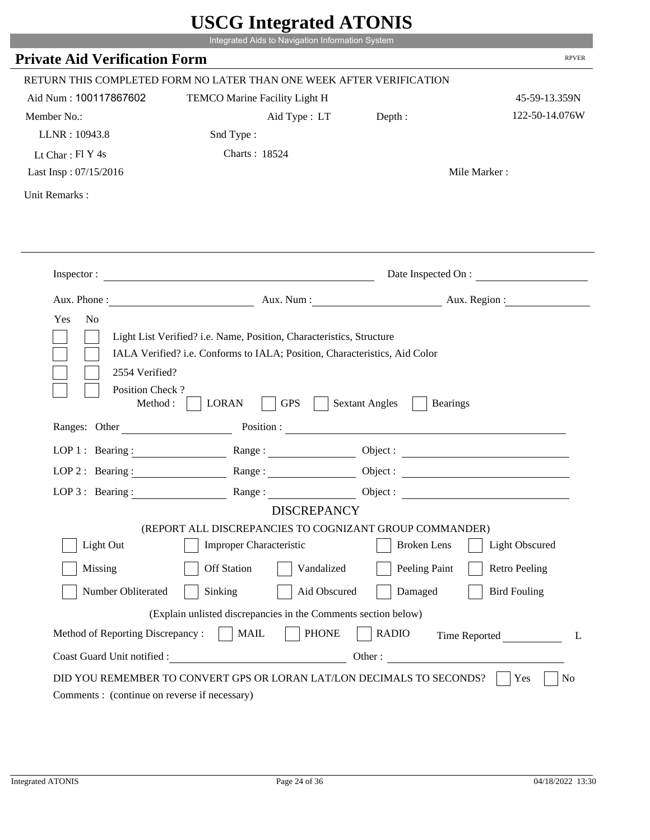|                                                                 | Integrated Aids to Navigation Information System                                                                                                   |                                                        |                       |
|-----------------------------------------------------------------|----------------------------------------------------------------------------------------------------------------------------------------------------|--------------------------------------------------------|-----------------------|
| <b>Private Aid Verification Form</b>                            |                                                                                                                                                    |                                                        | <b>RPVER</b>          |
|                                                                 | RETURN THIS COMPLETED FORM NO LATER THAN ONE WEEK AFTER VERIFICATION                                                                               |                                                        |                       |
| Aid Num: 100117867602                                           | TEMCO Marine Facility Light H                                                                                                                      |                                                        | 45-59-13.359N         |
| Member No.:                                                     | Aid Type: LT                                                                                                                                       | Depth:                                                 | 122-50-14.076W        |
| LLNR: 10943.8                                                   | Snd Type:                                                                                                                                          |                                                        |                       |
| Lt Char: $FI$ Y 4s                                              | Charts: 18524                                                                                                                                      |                                                        |                       |
| Last Insp: 07/15/2016                                           |                                                                                                                                                    |                                                        | Mile Marker:          |
| Unit Remarks:                                                   |                                                                                                                                                    |                                                        |                       |
|                                                                 |                                                                                                                                                    |                                                        |                       |
|                                                                 | Inspector:                                                                                                                                         |                                                        | Date Inspected On :   |
| Aux. Phone :                                                    |                                                                                                                                                    | Aux. Num : Aux. Region :                               |                       |
| 2554 Verified?                                                  | Light List Verified? i.e. Name, Position, Characteristics, Structure<br>IALA Verified? i.e. Conforms to IALA; Position, Characteristics, Aid Color |                                                        |                       |
| Position Check?<br>Method :<br>Ranges: Other                    | <b>GPS</b><br><b>LORAN</b>                                                                                                                         | <b>Sextant Angles</b><br><b>Bearings</b><br>Position : |                       |
|                                                                 |                                                                                                                                                    |                                                        |                       |
|                                                                 | LOP 1: Bearing: $\qquad \qquad \text{Range}:$                                                                                                      |                                                        |                       |
|                                                                 | LOP 2 : Bearing : $\qquad \qquad$ Range :                                                                                                          |                                                        |                       |
| $LOP 3:$ Bearing :                                              | Range:<br><b>DISCREPANCY</b>                                                                                                                       |                                                        | Object:               |
|                                                                 | (REPORT ALL DISCREPANCIES TO COGNIZANT GROUP COMMANDER)                                                                                            |                                                        |                       |
| Light Out                                                       | Improper Characteristic                                                                                                                            | <b>Broken</b> Lens                                     | <b>Light Obscured</b> |
| Missing                                                         | <b>Off Station</b><br>Vandalized                                                                                                                   | Peeling Paint                                          | <b>Retro Peeling</b>  |
| Number Obliterated                                              | Aid Obscured<br>Sinking                                                                                                                            | Damaged                                                | <b>Bird Fouling</b>   |
|                                                                 |                                                                                                                                                    |                                                        |                       |
|                                                                 | (Explain unlisted discrepancies in the Comments section below)                                                                                     |                                                        |                       |
| Method of Reporting Discrepancy:<br>Coast Guard Unit notified : | <b>PHONE</b><br><b>MAIL</b><br>Other:                                                                                                              | <b>RADIO</b>                                           | Time Reported         |

i i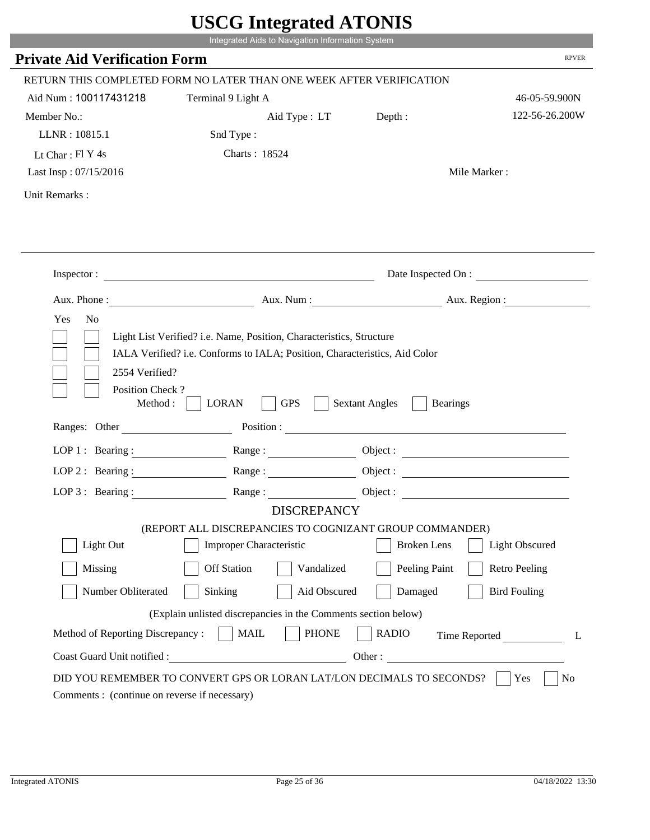|                                                            | Integrated Aids to Navigation Information System                                                                                                   |                                                                                                                |                        |
|------------------------------------------------------------|----------------------------------------------------------------------------------------------------------------------------------------------------|----------------------------------------------------------------------------------------------------------------|------------------------|
| <b>Private Aid Verification Form</b>                       |                                                                                                                                                    |                                                                                                                | <b>RPVER</b>           |
|                                                            | RETURN THIS COMPLETED FORM NO LATER THAN ONE WEEK AFTER VERIFICATION                                                                               |                                                                                                                |                        |
| Aid Num: 100117431218                                      | Terminal 9 Light A                                                                                                                                 |                                                                                                                | 46-05-59.900N          |
| Member No.:                                                | Aid Type : LT                                                                                                                                      | Depth:                                                                                                         | 122-56-26.200W         |
| LLNR: 10815.1                                              | Snd Type:                                                                                                                                          |                                                                                                                |                        |
| Lt Char: Fl Y 4s                                           | Charts: 18524                                                                                                                                      |                                                                                                                |                        |
| Last Insp: 07/15/2016                                      |                                                                                                                                                    |                                                                                                                | Mile Marker:           |
| Unit Remarks:                                              |                                                                                                                                                    |                                                                                                                |                        |
|                                                            |                                                                                                                                                    |                                                                                                                |                        |
|                                                            | Inspector:                                                                                                                                         |                                                                                                                | Date Inspected On :    |
| Aux. Phone :                                               |                                                                                                                                                    |                                                                                                                | Aux. Num: Aux. Region: |
| Yes<br>N <sub>o</sub><br>2554 Verified?<br>Position Check? | Light List Verified? i.e. Name, Position, Characteristics, Structure<br>IALA Verified? i.e. Conforms to IALA; Position, Characteristics, Aid Color |                                                                                                                |                        |
| Method :<br>Ranges: Other                                  | <b>GPS</b><br><b>LORAN</b>                                                                                                                         | <b>Sextant Angles</b><br><b>Bearings</b>                                                                       |                        |
|                                                            |                                                                                                                                                    | Position : The Common Section of the Common Section 2014 and 2014 and 2014 and 2014 and 2014 and 2014 and 2014 |                        |
| LOP 1 : Bearing :<br>LOP $2:$ Bearing :                    |                                                                                                                                                    |                                                                                                                | Object :               |
|                                                            | Range :                                                                                                                                            |                                                                                                                |                        |
| LOP $3$ : Bearing :                                        | Range:<br><b>DISCREPANCY</b>                                                                                                                       |                                                                                                                |                        |
|                                                            | (REPORT ALL DISCREPANCIES TO COGNIZANT GROUP COMMANDER)                                                                                            |                                                                                                                |                        |
| Light Out                                                  | <b>Improper Characteristic</b>                                                                                                                     | <b>Broken</b> Lens                                                                                             | <b>Light Obscured</b>  |
| Missing                                                    | <b>Off Station</b><br>Vandalized                                                                                                                   | Peeling Paint                                                                                                  | <b>Retro Peeling</b>   |
| Number Obliterated                                         | Sinking<br>Aid Obscured                                                                                                                            | Damaged                                                                                                        | <b>Bird Fouling</b>    |
|                                                            | (Explain unlisted discrepancies in the Comments section below)                                                                                     |                                                                                                                |                        |
| Method of Reporting Discrepancy:                           | <b>PHONE</b><br><b>MAIL</b>                                                                                                                        | <b>RADIO</b>                                                                                                   | Time Reported<br>L     |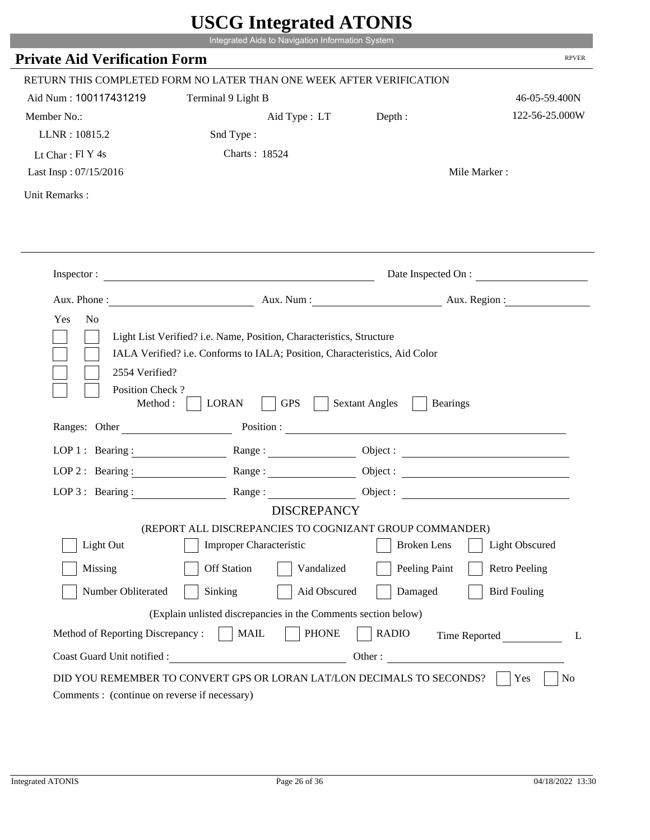|                                             |                                                                                                                                                    | UDUU MINGLANU ATUNID                     |                        |
|---------------------------------------------|----------------------------------------------------------------------------------------------------------------------------------------------------|------------------------------------------|------------------------|
|                                             | Integrated Aids to Navigation Information System                                                                                                   |                                          |                        |
| <b>Private Aid Verification Form</b>        |                                                                                                                                                    |                                          | <b>RPVER</b>           |
|                                             | RETURN THIS COMPLETED FORM NO LATER THAN ONE WEEK AFTER VERIFICATION                                                                               |                                          |                        |
| Aid Num: 100117431219                       | Terminal 9 Light B                                                                                                                                 |                                          | 46-05-59.400N          |
| Member No.:                                 | Aid Type : LT Depth :                                                                                                                              |                                          | 122-56-25.000W         |
| LLNR: 10815.2                               | Snd Type:                                                                                                                                          |                                          |                        |
| Lt Char: $FI Y 4s$                          | Charts: 18524                                                                                                                                      |                                          |                        |
| Last Insp: 07/15/2016                       |                                                                                                                                                    |                                          | Mile Marker:           |
| Unit Remarks:                               |                                                                                                                                                    |                                          |                        |
|                                             |                                                                                                                                                    |                                          |                        |
|                                             |                                                                                                                                                    |                                          |                        |
|                                             | Inspector:                                                                                                                                         |                                          | Date Inspected On :    |
|                                             |                                                                                                                                                    |                                          | Aux. Num: Aux. Region: |
| Yes<br>N <sub>o</sub><br>2554 Verified?     | Light List Verified? i.e. Name, Position, Characteristics, Structure<br>IALA Verified? i.e. Conforms to IALA; Position, Characteristics, Aid Color |                                          |                        |
| Position Check?<br>Method:<br>Ranges: Other | <b>GPS</b><br><b>LORAN</b>                                                                                                                         | <b>Sextant Angles</b><br><b>Bearings</b> |                        |
|                                             |                                                                                                                                                    | Position :                               |                        |
|                                             | LOP 1: Bearing: Range:                                                                                                                             |                                          |                        |
| LOP $2:$ Bearing :                          | Range:                                                                                                                                             |                                          |                        |
|                                             | LOP 3: Bearing: Range: Name: Object:                                                                                                               |                                          |                        |
|                                             | <b>DISCREPANCY</b>                                                                                                                                 |                                          |                        |
|                                             | (REPORT ALL DISCREPANCIES TO COGNIZANT GROUP COMMANDER)                                                                                            |                                          |                        |
| Light Out                                   | Improper Characteristic                                                                                                                            | <b>Broken</b> Lens                       | Light Obscured         |
| Missing                                     | <b>Off Station</b><br>Vandalized                                                                                                                   | Peeling Paint                            | <b>Retro Peeling</b>   |
| Number Obliterated                          | Sinking<br>Aid Obscured                                                                                                                            | Damaged                                  | <b>Bird Fouling</b>    |
|                                             | (Explain unlisted discrepancies in the Comments section below)                                                                                     |                                          |                        |
| Method of Reporting Discrepancy:            | <b>PHONE</b><br><b>MAIL</b>                                                                                                                        | <b>RADIO</b>                             | Time Reported<br>L     |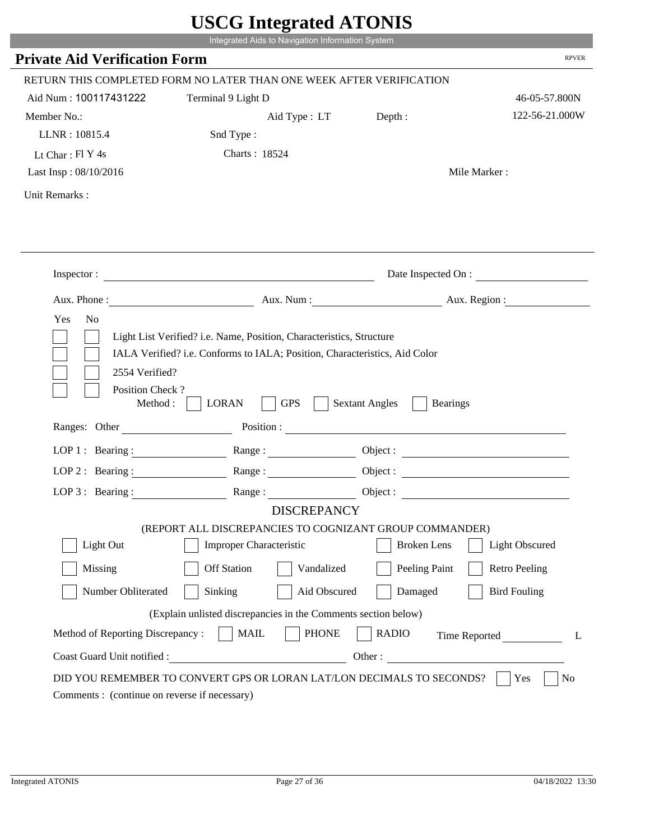|                                                                 | Integrated Aids to Navigation Information System                                                                                                   |                                                                                                                                                                                                                                                                            |                        |
|-----------------------------------------------------------------|----------------------------------------------------------------------------------------------------------------------------------------------------|----------------------------------------------------------------------------------------------------------------------------------------------------------------------------------------------------------------------------------------------------------------------------|------------------------|
| <b>Private Aid Verification Form</b>                            |                                                                                                                                                    |                                                                                                                                                                                                                                                                            | <b>RPVER</b>           |
|                                                                 | RETURN THIS COMPLETED FORM NO LATER THAN ONE WEEK AFTER VERIFICATION                                                                               |                                                                                                                                                                                                                                                                            |                        |
| Aid Num: 100117431222                                           | Terminal 9 Light D                                                                                                                                 |                                                                                                                                                                                                                                                                            | 46-05-57.800N          |
| Member No.:                                                     | Aid Type : LT                                                                                                                                      | Depth:                                                                                                                                                                                                                                                                     | 122-56-21.000W         |
| LLNR: 10815.4                                                   | Snd Type:                                                                                                                                          |                                                                                                                                                                                                                                                                            |                        |
| Lt Char: Fl Y 4s                                                | Charts: 18524                                                                                                                                      |                                                                                                                                                                                                                                                                            |                        |
| Last Insp: 08/10/2016                                           |                                                                                                                                                    |                                                                                                                                                                                                                                                                            | Mile Marker:           |
| Unit Remarks:                                                   |                                                                                                                                                    |                                                                                                                                                                                                                                                                            |                        |
|                                                                 |                                                                                                                                                    |                                                                                                                                                                                                                                                                            |                        |
|                                                                 | Inspector:                                                                                                                                         |                                                                                                                                                                                                                                                                            | Date Inspected On :    |
| Aux. Phone :                                                    |                                                                                                                                                    |                                                                                                                                                                                                                                                                            | Aux. Num: Aux. Region: |
| 2554 Verified?<br>Position Check?                               | Light List Verified? i.e. Name, Position, Characteristics, Structure<br>IALA Verified? i.e. Conforms to IALA; Position, Characteristics, Aid Color |                                                                                                                                                                                                                                                                            |                        |
| Method:<br>Ranges: Other                                        | <b>GPS</b><br><b>LORAN</b>                                                                                                                         | <b>Sextant Angles</b><br><b>Bearings</b><br>Position : The Contract of the Contract of the Contract of the Contract of the Contract of the Contract of the Contract of the Contract of the Contract of the Contract of the Contract of the Contract of the Contract of the |                        |
|                                                                 |                                                                                                                                                    |                                                                                                                                                                                                                                                                            |                        |
| LOP 1 : Bearing :                                               |                                                                                                                                                    |                                                                                                                                                                                                                                                                            | Object :               |
| $LOP$ 2 : Bearing :                                             | Range :                                                                                                                                            |                                                                                                                                                                                                                                                                            |                        |
| $LOP$ 3 : Bearing :                                             | Range:<br><b>DISCREPANCY</b>                                                                                                                       |                                                                                                                                                                                                                                                                            |                        |
|                                                                 | (REPORT ALL DISCREPANCIES TO COGNIZANT GROUP COMMANDER)                                                                                            |                                                                                                                                                                                                                                                                            |                        |
| Light Out                                                       | <b>Improper Characteristic</b>                                                                                                                     | <b>Broken</b> Lens                                                                                                                                                                                                                                                         | <b>Light Obscured</b>  |
| Missing                                                         | <b>Off Station</b><br>Vandalized                                                                                                                   | Peeling Paint                                                                                                                                                                                                                                                              | <b>Retro Peeling</b>   |
| Number Obliterated                                              | Sinking<br>Aid Obscured                                                                                                                            | Damaged                                                                                                                                                                                                                                                                    | <b>Bird Fouling</b>    |
|                                                                 |                                                                                                                                                    |                                                                                                                                                                                                                                                                            |                        |
|                                                                 | (Explain unlisted discrepancies in the Comments section below)                                                                                     |                                                                                                                                                                                                                                                                            |                        |
| Method of Reporting Discrepancy:<br>Coast Guard Unit notified : | <b>PHONE</b><br><b>MAIL</b><br><u> 1980 - Johann Barbara, martin d</u>                                                                             | <b>RADIO</b><br>Other:                                                                                                                                                                                                                                                     | Time Reported<br>L     |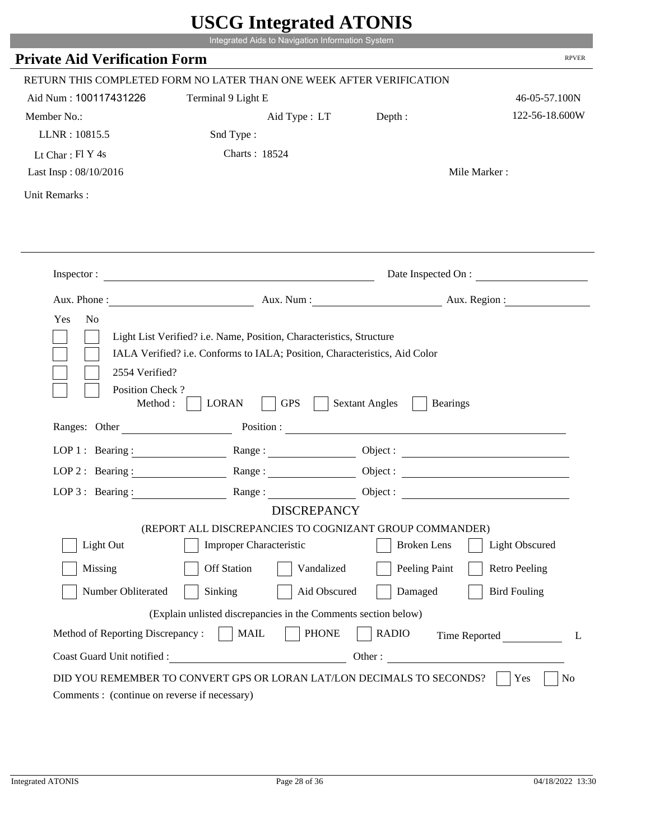|                                                               | Integrated Aids to Navigation Information System                                                                                                   |                                                                                                                                                                                                                                |                        |
|---------------------------------------------------------------|----------------------------------------------------------------------------------------------------------------------------------------------------|--------------------------------------------------------------------------------------------------------------------------------------------------------------------------------------------------------------------------------|------------------------|
| <b>Private Aid Verification Form</b>                          |                                                                                                                                                    |                                                                                                                                                                                                                                | <b>RPVER</b>           |
|                                                               | RETURN THIS COMPLETED FORM NO LATER THAN ONE WEEK AFTER VERIFICATION                                                                               |                                                                                                                                                                                                                                |                        |
| Aid Num: 100117431226                                         | Terminal 9 Light E                                                                                                                                 |                                                                                                                                                                                                                                | 46-05-57.100N          |
| Member No.:                                                   | Aid Type : LT                                                                                                                                      | Depth:                                                                                                                                                                                                                         | 122-56-18.600W         |
| LLNR: 10815.5                                                 | Snd Type:                                                                                                                                          |                                                                                                                                                                                                                                |                        |
| Lt Char: Fl Y 4s                                              | Charts: 18524                                                                                                                                      |                                                                                                                                                                                                                                |                        |
| Last Insp: 08/10/2016                                         |                                                                                                                                                    |                                                                                                                                                                                                                                | Mile Marker:           |
| Unit Remarks:                                                 |                                                                                                                                                    |                                                                                                                                                                                                                                |                        |
|                                                               |                                                                                                                                                    |                                                                                                                                                                                                                                |                        |
|                                                               | Inspector:                                                                                                                                         |                                                                                                                                                                                                                                | Date Inspected On :    |
| Aux. Phone :                                                  |                                                                                                                                                    |                                                                                                                                                                                                                                | Aux. Num: Aux. Region: |
|                                                               | Light List Verified? i.e. Name, Position, Characteristics, Structure<br>IALA Verified? i.e. Conforms to IALA; Position, Characteristics, Aid Color |                                                                                                                                                                                                                                |                        |
| 2554 Verified?<br>Position Check?<br>Method:<br>Ranges: Other | <b>GPS</b><br><b>LORAN</b>                                                                                                                         | <b>Sextant Angles</b><br><b>Bearings</b>                                                                                                                                                                                       |                        |
|                                                               |                                                                                                                                                    | Position : The Contract of the Contract of the Contract of the Contract of the Contract of the Contract of the Contract of the Contract of the Contract of the Contract of the Contract of the Contract of the Contract of the |                        |
| LOP 1 : Bearing :                                             |                                                                                                                                                    |                                                                                                                                                                                                                                | Object :               |
| $LOP$ 2 : Bearing :                                           | Range :                                                                                                                                            |                                                                                                                                                                                                                                |                        |
| $LOP$ 3 : Bearing :                                           | Range:                                                                                                                                             |                                                                                                                                                                                                                                |                        |
|                                                               | <b>DISCREPANCY</b><br>(REPORT ALL DISCREPANCIES TO COGNIZANT GROUP COMMANDER)                                                                      |                                                                                                                                                                                                                                |                        |
| Light Out                                                     | <b>Improper Characteristic</b>                                                                                                                     | <b>Broken</b> Lens                                                                                                                                                                                                             | <b>Light Obscured</b>  |
| Missing                                                       | <b>Off Station</b><br>Vandalized                                                                                                                   | Peeling Paint                                                                                                                                                                                                                  | <b>Retro Peeling</b>   |
| Number Obliterated                                            | Sinking<br>Aid Obscured                                                                                                                            | Damaged                                                                                                                                                                                                                        | <b>Bird Fouling</b>    |
|                                                               | (Explain unlisted discrepancies in the Comments section below)                                                                                     |                                                                                                                                                                                                                                |                        |
| Method of Reporting Discrepancy:                              | <b>PHONE</b><br><b>MAIL</b>                                                                                                                        | <b>RADIO</b>                                                                                                                                                                                                                   |                        |
| Coast Guard Unit notified :                                   | <u> 1980 - Johann Barbara, martin d</u>                                                                                                            | Other:                                                                                                                                                                                                                         | Time Reported<br>L     |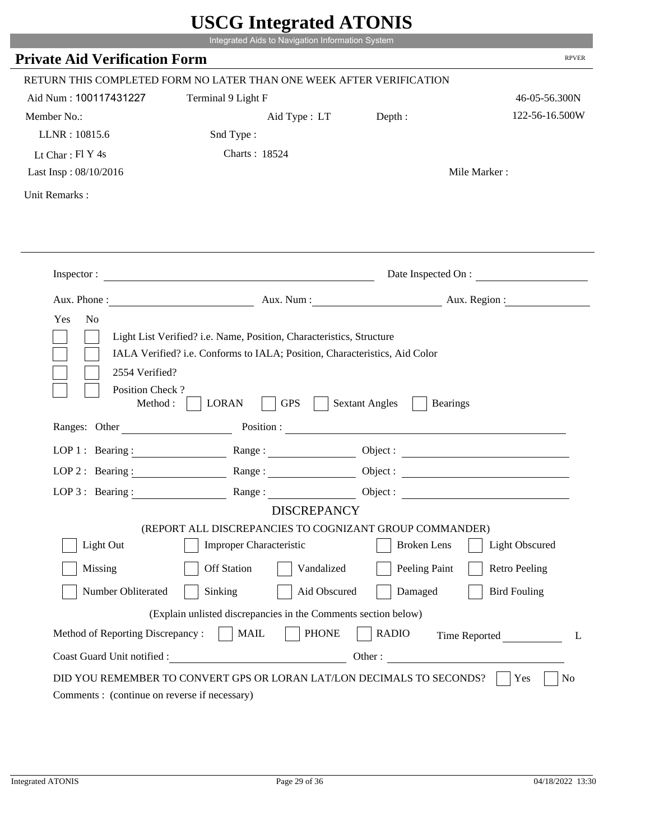|                                             | UDUU MINGLANU ATUNID                                                                      |                                                        |                                               |
|---------------------------------------------|-------------------------------------------------------------------------------------------|--------------------------------------------------------|-----------------------------------------------|
|                                             | Integrated Aids to Navigation Information System                                          |                                                        |                                               |
| <b>Private Aid Verification Form</b>        |                                                                                           |                                                        | <b>RPVER</b>                                  |
|                                             | RETURN THIS COMPLETED FORM NO LATER THAN ONE WEEK AFTER VERIFICATION                      |                                                        |                                               |
| Aid Num: 100117431227                       | Terminal 9 Light F                                                                        |                                                        | 46-05-56.300N                                 |
| Member No.:                                 | Aid Type : LT                                                                             | Depth:                                                 | 122-56-16.500W                                |
| LLNR: 10815.6                               | Snd Type:                                                                                 |                                                        |                                               |
| Lt Char: $FI$ Y 4s                          | Charts: 18524                                                                             |                                                        |                                               |
| Last Insp: 08/10/2016                       |                                                                                           |                                                        | Mile Marker:                                  |
| Unit Remarks:                               |                                                                                           |                                                        |                                               |
|                                             |                                                                                           |                                                        |                                               |
|                                             |                                                                                           |                                                        |                                               |
|                                             | Inspector:                                                                                |                                                        | Date Inspected On :<br>Aux. Num: Aux. Region: |
| Yes<br>N <sub>o</sub>                       |                                                                                           |                                                        |                                               |
| Position Check?<br>Method:<br>Ranges: Other | <b>GPS</b><br><b>LORAN</b>                                                                | <b>Sextant Angles</b><br><b>Bearings</b><br>Position : |                                               |
|                                             | LOP 1: Bearing: Range:                                                                    |                                                        |                                               |
| LOP $2:$ Bearing :                          | Range:                                                                                    |                                                        |                                               |
|                                             |                                                                                           |                                                        |                                               |
|                                             | LOP 3: Bearing: Range: Name: Object:                                                      |                                                        |                                               |
|                                             | <b>DISCREPANCY</b>                                                                        |                                                        |                                               |
| Light Out                                   | (REPORT ALL DISCREPANCIES TO COGNIZANT GROUP COMMANDER)<br><b>Improper Characteristic</b> | <b>Broken</b> Lens                                     | Light Obscured                                |
| Missing                                     | <b>Off Station</b><br>Vandalized                                                          | Peeling Paint                                          | <b>Retro Peeling</b>                          |
| Number Obliterated                          | Sinking<br>Aid Obscured                                                                   | Damaged                                                | <b>Bird Fouling</b>                           |
|                                             | (Explain unlisted discrepancies in the Comments section below)                            |                                                        |                                               |
| Method of Reporting Discrepancy:            | <b>PHONE</b><br><b>MAIL</b>                                                               | <b>RADIO</b>                                           | Time Reported<br>L                            |
| Coast Guard Unit notified :                 | <u> 1980 - Johann Barbara, martin d</u>                                                   |                                                        |                                               |
|                                             |                                                                                           |                                                        | Other :                                       |
|                                             | DID YOU REMEMBER TO CONVERT GPS OR LORAN LAT/LON DECIMALS TO SECONDS?                     |                                                        | Yes<br>No                                     |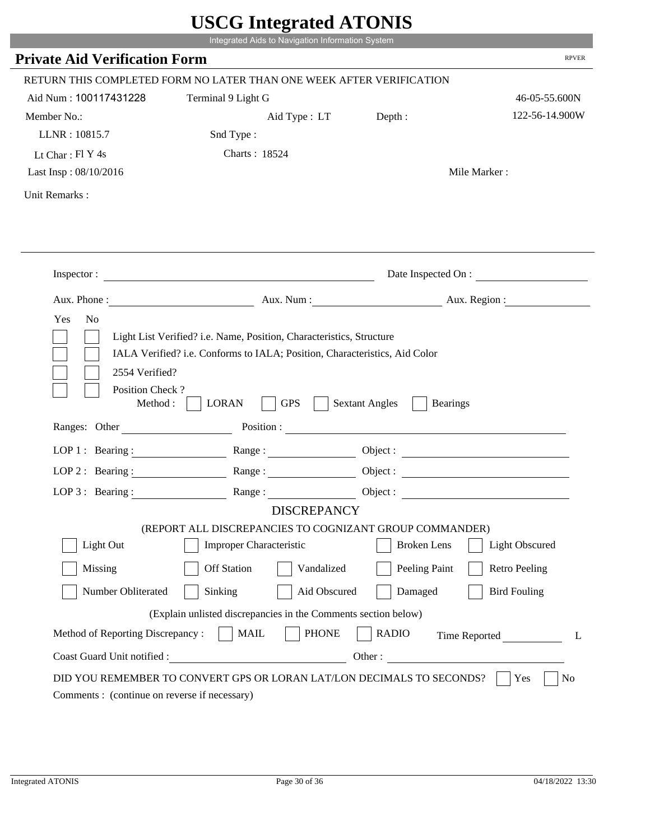|                                              |                                                                                                                                                    | UDUU MINGLANU ATUNID                     |                        |
|----------------------------------------------|----------------------------------------------------------------------------------------------------------------------------------------------------|------------------------------------------|------------------------|
|                                              | Integrated Aids to Navigation Information System                                                                                                   |                                          |                        |
| <b>Private Aid Verification Form</b>         |                                                                                                                                                    |                                          | <b>RPVER</b>           |
|                                              | RETURN THIS COMPLETED FORM NO LATER THAN ONE WEEK AFTER VERIFICATION                                                                               |                                          |                        |
| Aid Num: 100117431228                        | Terminal 9 Light G                                                                                                                                 |                                          | 46-05-55.600N          |
| Member No.:                                  | Aid Type : LT                                                                                                                                      | Depth:                                   | 122-56-14.900W         |
| LLNR: 10815.7                                | Snd Type:                                                                                                                                          |                                          |                        |
| Lt Char: $FI Y 4s$                           | Charts: 18524                                                                                                                                      |                                          |                        |
| Last Insp: 08/10/2016                        |                                                                                                                                                    |                                          | Mile Marker:           |
| Unit Remarks:                                |                                                                                                                                                    |                                          |                        |
|                                              |                                                                                                                                                    |                                          |                        |
|                                              | Inspector:                                                                                                                                         |                                          | Date Inspected On :    |
|                                              |                                                                                                                                                    |                                          | Aux. Num: Aux. Region: |
| Yes<br>N <sub>o</sub>                        | Light List Verified? i.e. Name, Position, Characteristics, Structure<br>IALA Verified? i.e. Conforms to IALA; Position, Characteristics, Aid Color |                                          |                        |
| 2554 Verified?<br>Position Check?<br>Method: | <b>GPS</b><br><b>LORAN</b>                                                                                                                         | <b>Sextant Angles</b><br><b>Bearings</b> |                        |
| Ranges: Other                                |                                                                                                                                                    | Position :                               |                        |
|                                              | LOP 1: Bearing: Range:                                                                                                                             |                                          |                        |
| LOP $2:$ Bearing :                           | Range:                                                                                                                                             |                                          |                        |
|                                              | LOP 3: Bearing: Range: Name: Object:                                                                                                               |                                          |                        |
|                                              | <b>DISCREPANCY</b>                                                                                                                                 |                                          |                        |
| Light Out                                    | (REPORT ALL DISCREPANCIES TO COGNIZANT GROUP COMMANDER)<br><b>Improper Characteristic</b>                                                          | <b>Broken</b> Lens                       | Light Obscured         |
| Missing                                      | <b>Off Station</b><br>Vandalized                                                                                                                   | Peeling Paint                            | <b>Retro Peeling</b>   |
| Number Obliterated                           | Sinking<br>Aid Obscured                                                                                                                            | Damaged                                  | <b>Bird Fouling</b>    |
|                                              | (Explain unlisted discrepancies in the Comments section below)                                                                                     |                                          |                        |
| Method of Reporting Discrepancy:             | <b>PHONE</b><br><b>MAIL</b>                                                                                                                        | <b>RADIO</b>                             | Time Reported<br>L     |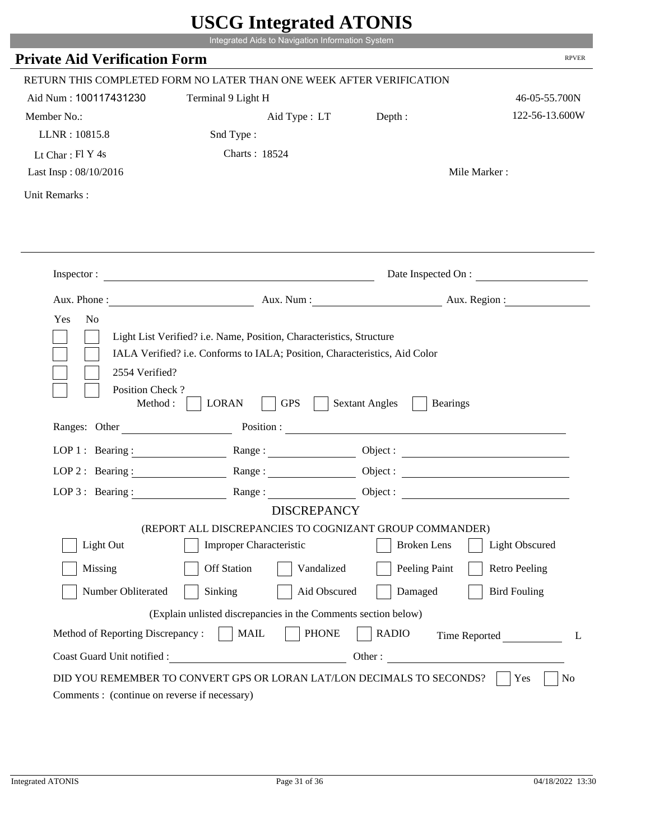|                                                               | Integrated Aids to Navigation Information System                                                                                                                                                                               | UDUU IIIIU ARUU ATUNID                   |                        |
|---------------------------------------------------------------|--------------------------------------------------------------------------------------------------------------------------------------------------------------------------------------------------------------------------------|------------------------------------------|------------------------|
| <b>Private Aid Verification Form</b>                          |                                                                                                                                                                                                                                |                                          | <b>RPVER</b>           |
|                                                               | RETURN THIS COMPLETED FORM NO LATER THAN ONE WEEK AFTER VERIFICATION                                                                                                                                                           |                                          |                        |
| Aid Num: 100117431230                                         | Terminal 9 Light H                                                                                                                                                                                                             |                                          | 46-05-55.700N          |
| Member No.:                                                   | Aid Type : LT                                                                                                                                                                                                                  | Depth:                                   | 122-56-13.600W         |
| LLNR: 10815.8                                                 | Snd Type:                                                                                                                                                                                                                      |                                          |                        |
| Lt Char: Fl Y 4s                                              | Charts: 18524                                                                                                                                                                                                                  |                                          |                        |
| Last Insp: 08/10/2016                                         |                                                                                                                                                                                                                                |                                          | Mile Marker:           |
| Unit Remarks:                                                 |                                                                                                                                                                                                                                |                                          |                        |
|                                                               |                                                                                                                                                                                                                                |                                          |                        |
|                                                               | Inspector:                                                                                                                                                                                                                     |                                          | Date Inspected On :    |
| Aux. Phone :                                                  |                                                                                                                                                                                                                                |                                          | Aux. Num: Aux. Region: |
| Yes<br>N <sub>o</sub>                                         | Light List Verified? i.e. Name, Position, Characteristics, Structure<br>IALA Verified? i.e. Conforms to IALA; Position, Characteristics, Aid Color                                                                             |                                          |                        |
| 2554 Verified?<br>Position Check?<br>Method:<br>Ranges: Other | <b>GPS</b><br><b>LORAN</b>                                                                                                                                                                                                     | <b>Sextant Angles</b><br><b>Bearings</b> |                        |
|                                                               | Position : The Contract of the Contract of the Contract of the Contract of the Contract of the Contract of the Contract of the Contract of the Contract of the Contract of the Contract of the Contract of the Contract of the |                                          |                        |
| LOP 1 : Bearing :                                             |                                                                                                                                                                                                                                |                                          | Object :               |
| $LOP$ 2 : Bearing :                                           | Range :                                                                                                                                                                                                                        |                                          |                        |
| $LOP$ 3 : Bearing :                                           | Range:<br><b>DISCREPANCY</b>                                                                                                                                                                                                   |                                          |                        |
|                                                               | (REPORT ALL DISCREPANCIES TO COGNIZANT GROUP COMMANDER)                                                                                                                                                                        |                                          |                        |
| Light Out                                                     | <b>Improper Characteristic</b>                                                                                                                                                                                                 | <b>Broken</b> Lens                       | <b>Light Obscured</b>  |
| Missing                                                       | <b>Off Station</b><br>Vandalized                                                                                                                                                                                               | Peeling Paint                            | <b>Retro Peeling</b>   |
| Number Obliterated                                            | Sinking<br>Aid Obscured                                                                                                                                                                                                        | Damaged                                  | <b>Bird Fouling</b>    |
|                                                               | (Explain unlisted discrepancies in the Comments section below)                                                                                                                                                                 |                                          |                        |
| Method of Reporting Discrepancy:                              | <b>PHONE</b><br><b>MAIL</b>                                                                                                                                                                                                    | <b>RADIO</b>                             | Time Reported<br>L     |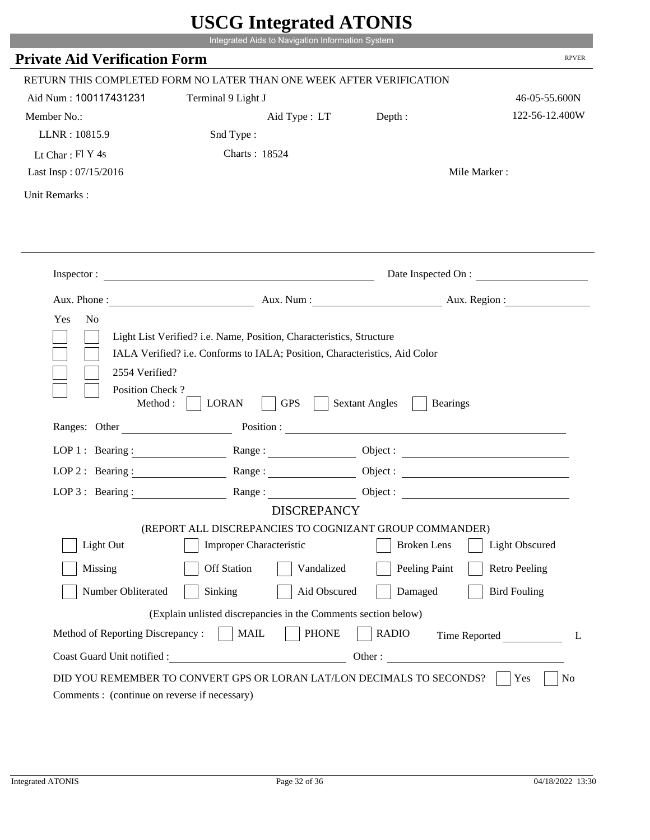|                                             |                                                                                                                                                    | UDUU MINGLANU ATUNID                     |                        |
|---------------------------------------------|----------------------------------------------------------------------------------------------------------------------------------------------------|------------------------------------------|------------------------|
|                                             | Integrated Aids to Navigation Information System                                                                                                   |                                          |                        |
| <b>Private Aid Verification Form</b>        |                                                                                                                                                    |                                          | <b>RPVER</b>           |
|                                             | RETURN THIS COMPLETED FORM NO LATER THAN ONE WEEK AFTER VERIFICATION                                                                               |                                          |                        |
| Aid Num: 100117431231                       | Terminal 9 Light J                                                                                                                                 |                                          | 46-05-55.600N          |
| Member No.:                                 | Aid Type : LT Depth :                                                                                                                              |                                          | 122-56-12.400W         |
| LLNR: 10815.9                               | Snd Type:                                                                                                                                          |                                          |                        |
| Lt Char: $FI Y 4s$                          | Charts: 18524                                                                                                                                      |                                          |                        |
| Last Insp: 07/15/2016                       |                                                                                                                                                    |                                          | Mile Marker:           |
| Unit Remarks:                               |                                                                                                                                                    |                                          |                        |
|                                             |                                                                                                                                                    |                                          |                        |
|                                             |                                                                                                                                                    |                                          |                        |
|                                             | Inspector:                                                                                                                                         |                                          | Date Inspected On :    |
|                                             |                                                                                                                                                    |                                          | Aux. Num: Aux. Region: |
| Yes<br>N <sub>o</sub><br>2554 Verified?     | Light List Verified? i.e. Name, Position, Characteristics, Structure<br>IALA Verified? i.e. Conforms to IALA; Position, Characteristics, Aid Color |                                          |                        |
| Position Check?<br>Method:<br>Ranges: Other | <b>GPS</b><br><b>LORAN</b>                                                                                                                         | <b>Sextant Angles</b><br><b>Bearings</b> |                        |
|                                             |                                                                                                                                                    | Position :                               |                        |
|                                             | LOP 1: Bearing: Range:                                                                                                                             |                                          |                        |
| LOP $2:$ Bearing :                          | Range:                                                                                                                                             |                                          |                        |
|                                             | LOP 3: Bearing: Range: Name: Object:                                                                                                               |                                          |                        |
|                                             | <b>DISCREPANCY</b>                                                                                                                                 |                                          |                        |
|                                             | (REPORT ALL DISCREPANCIES TO COGNIZANT GROUP COMMANDER)                                                                                            | <b>Broken</b> Lens                       |                        |
| Light Out                                   | <b>Improper Characteristic</b>                                                                                                                     |                                          | Light Obscured         |
| Missing                                     | <b>Off Station</b><br>Vandalized                                                                                                                   | Peeling Paint                            | <b>Retro Peeling</b>   |
| Number Obliterated                          | Sinking<br>Aid Obscured                                                                                                                            | Damaged                                  | <b>Bird Fouling</b>    |
|                                             | (Explain unlisted discrepancies in the Comments section below)                                                                                     |                                          |                        |
| Method of Reporting Discrepancy:            | <b>PHONE</b><br><b>MAIL</b>                                                                                                                        | <b>RADIO</b>                             | Time Reported<br>L     |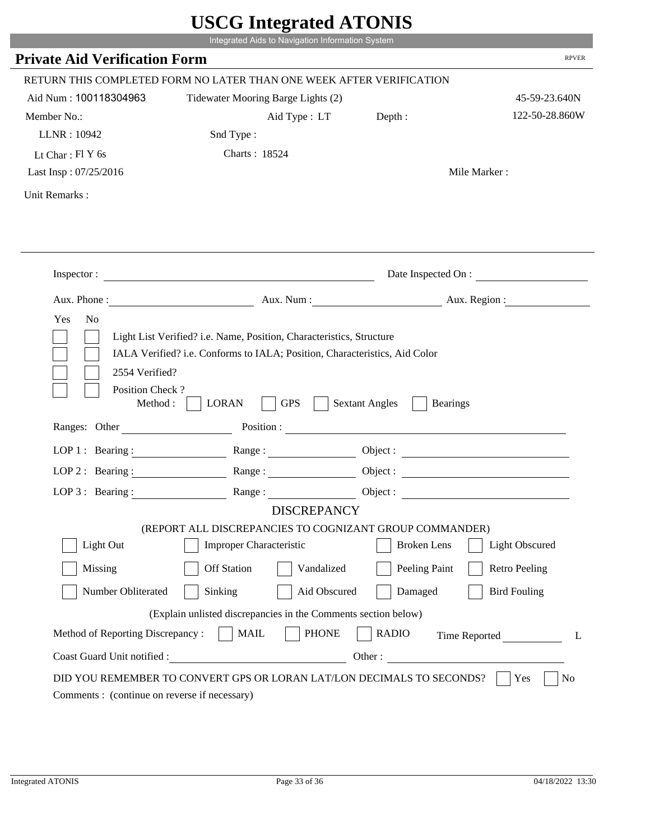|                                                                 | Integrated Aids to Navigation Information System                                                                                                   |                                                        |                       |
|-----------------------------------------------------------------|----------------------------------------------------------------------------------------------------------------------------------------------------|--------------------------------------------------------|-----------------------|
| <b>Private Aid Verification Form</b>                            |                                                                                                                                                    |                                                        | <b>RPVER</b>          |
|                                                                 | RETURN THIS COMPLETED FORM NO LATER THAN ONE WEEK AFTER VERIFICATION                                                                               |                                                        |                       |
| Aid Num: 100118304963                                           | Tidewater Mooring Barge Lights (2)                                                                                                                 |                                                        | 45-59-23.640N         |
| Member No.:                                                     | Aid Type : LT                                                                                                                                      | Depth:                                                 | 122-50-28.860W        |
| LLNR: 10942                                                     | Snd Type:                                                                                                                                          |                                                        |                       |
| Lt Char: $FIY$ 6s                                               | Charts: 18524                                                                                                                                      |                                                        |                       |
| Last Insp: 07/25/2016                                           |                                                                                                                                                    |                                                        | Mile Marker:          |
| Unit Remarks:                                                   |                                                                                                                                                    |                                                        |                       |
|                                                                 |                                                                                                                                                    |                                                        |                       |
|                                                                 | Inspector:                                                                                                                                         |                                                        | Date Inspected On :   |
| Aux. Phone :                                                    |                                                                                                                                                    | Aux. Num: Aux. Region:                                 |                       |
| N <sub>o</sub><br>Yes<br>2554 Verified?                         | Light List Verified? i.e. Name, Position, Characteristics, Structure<br>IALA Verified? i.e. Conforms to IALA; Position, Characteristics, Aid Color |                                                        |                       |
| Position Check?<br>Method :<br>Ranges: Other                    | <b>GPS</b><br><b>LORAN</b>                                                                                                                         | <b>Sextant Angles</b><br><b>Bearings</b><br>Position : |                       |
|                                                                 |                                                                                                                                                    |                                                        |                       |
|                                                                 | LOP 1: Bearing: $\qquad \qquad \text{Range}:$                                                                                                      |                                                        |                       |
|                                                                 | LOP 2: Bearing: Range:                                                                                                                             |                                                        |                       |
| LOP $3:$ Bearing :                                              | Range:<br><b>DISCREPANCY</b>                                                                                                                       |                                                        | Object:               |
|                                                                 | (REPORT ALL DISCREPANCIES TO COGNIZANT GROUP COMMANDER)                                                                                            |                                                        |                       |
| Light Out                                                       | Improper Characteristic                                                                                                                            | <b>Broken</b> Lens                                     | <b>Light Obscured</b> |
| Missing                                                         | <b>Off Station</b><br>Vandalized                                                                                                                   | Peeling Paint                                          | <b>Retro Peeling</b>  |
|                                                                 | Aid Obscured                                                                                                                                       | Damaged                                                |                       |
| Number Obliterated                                              | Sinking                                                                                                                                            |                                                        | <b>Bird Fouling</b>   |
|                                                                 | (Explain unlisted discrepancies in the Comments section below)                                                                                     |                                                        |                       |
| Method of Reporting Discrepancy:<br>Coast Guard Unit notified : | <b>PHONE</b><br><b>MAIL</b><br>Other:                                                                                                              | <b>RADIO</b>                                           | Time Reported         |

r.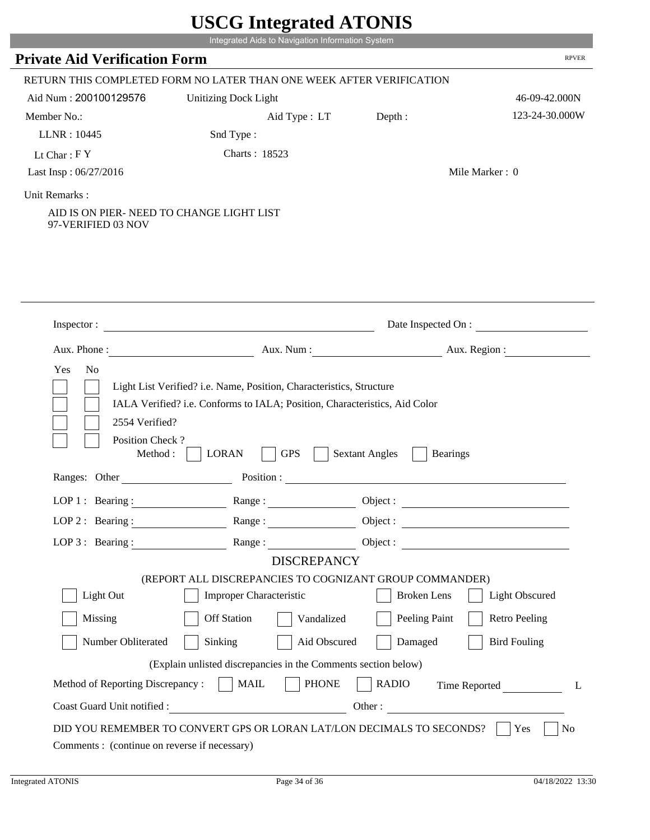| <b>RPVER</b><br>RETURN THIS COMPLETED FORM NO LATER THAN ONE WEEK AFTER VERIFICATION<br>46-09-42.000N<br>123-24-30.000W<br>Depth:<br>Aid Type : LT<br>Mile Marker: 0<br>Date Inspected On :<br><u> 1989 - Johann Barbara, markazi ya mshindi ya matu ya matu ya matu ya matu ya matu ya matu ya matu ya matu ya</u><br>Aux. Num : Aux. Region :<br>Light List Verified? i.e. Name, Position, Characteristics, Structure |
|-------------------------------------------------------------------------------------------------------------------------------------------------------------------------------------------------------------------------------------------------------------------------------------------------------------------------------------------------------------------------------------------------------------------------|
|                                                                                                                                                                                                                                                                                                                                                                                                                         |
|                                                                                                                                                                                                                                                                                                                                                                                                                         |
|                                                                                                                                                                                                                                                                                                                                                                                                                         |
|                                                                                                                                                                                                                                                                                                                                                                                                                         |
|                                                                                                                                                                                                                                                                                                                                                                                                                         |
|                                                                                                                                                                                                                                                                                                                                                                                                                         |
|                                                                                                                                                                                                                                                                                                                                                                                                                         |
|                                                                                                                                                                                                                                                                                                                                                                                                                         |
|                                                                                                                                                                                                                                                                                                                                                                                                                         |
|                                                                                                                                                                                                                                                                                                                                                                                                                         |
|                                                                                                                                                                                                                                                                                                                                                                                                                         |
|                                                                                                                                                                                                                                                                                                                                                                                                                         |
|                                                                                                                                                                                                                                                                                                                                                                                                                         |
|                                                                                                                                                                                                                                                                                                                                                                                                                         |
|                                                                                                                                                                                                                                                                                                                                                                                                                         |
|                                                                                                                                                                                                                                                                                                                                                                                                                         |
|                                                                                                                                                                                                                                                                                                                                                                                                                         |
|                                                                                                                                                                                                                                                                                                                                                                                                                         |
|                                                                                                                                                                                                                                                                                                                                                                                                                         |
|                                                                                                                                                                                                                                                                                                                                                                                                                         |
| IALA Verified? i.e. Conforms to IALA; Position, Characteristics, Aid Color                                                                                                                                                                                                                                                                                                                                              |
|                                                                                                                                                                                                                                                                                                                                                                                                                         |
|                                                                                                                                                                                                                                                                                                                                                                                                                         |
| <b>Sextant Angles</b><br><b>Bearings</b>                                                                                                                                                                                                                                                                                                                                                                                |
| <u> 1989 - Johann Barbara, martxa alemaniar arg</u>                                                                                                                                                                                                                                                                                                                                                                     |
| Object :                                                                                                                                                                                                                                                                                                                                                                                                                |
| LOP 2: Bearing : $\qquad \qquad$ Range :<br>Object :                                                                                                                                                                                                                                                                                                                                                                    |
| LOP 3: Bearing: Range:                                                                                                                                                                                                                                                                                                                                                                                                  |
| <b>DISCREPANCY</b>                                                                                                                                                                                                                                                                                                                                                                                                      |
| (REPORT ALL DISCREPANCIES TO COGNIZANT GROUP COMMANDER)                                                                                                                                                                                                                                                                                                                                                                 |
| <b>Light Obscured</b><br><b>Broken</b> Lens                                                                                                                                                                                                                                                                                                                                                                             |
| Peeling Paint<br><b>Retro Peeling</b><br>Vandalized                                                                                                                                                                                                                                                                                                                                                                     |
| Aid Obscured<br>Damaged<br><b>Bird Fouling</b>                                                                                                                                                                                                                                                                                                                                                                          |
|                                                                                                                                                                                                                                                                                                                                                                                                                         |
| (Explain unlisted discrepancies in the Comments section below)<br><b>PHONE</b><br><b>RADIO</b><br>Time Reported<br>L                                                                                                                                                                                                                                                                                                    |
| Other:                                                                                                                                                                                                                                                                                                                                                                                                                  |
|                                                                                                                                                                                                                                                                                                                                                                                                                         |
|                                                                                                                                                                                                                                                                                                                                                                                                                         |

L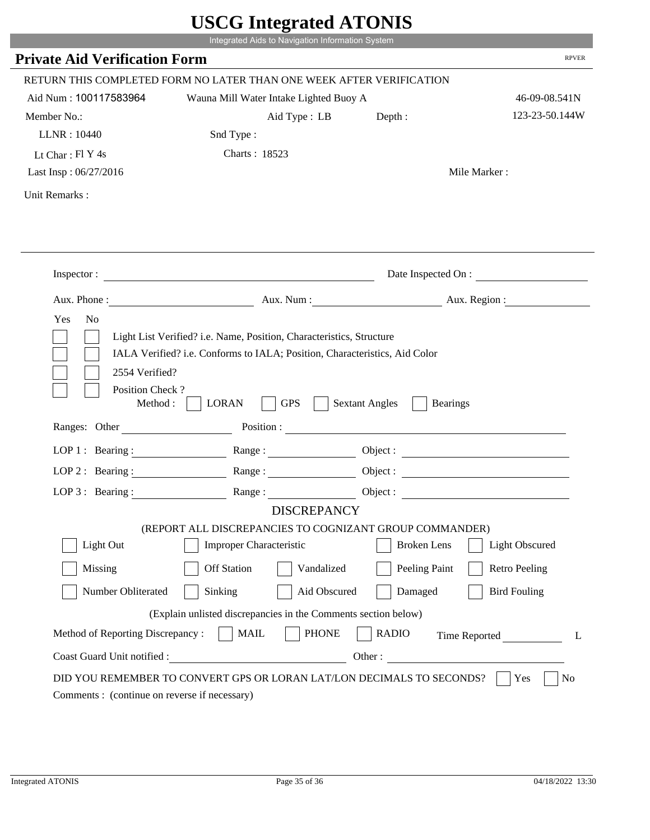| <b>Private Aid Verification Form</b>          | Integrated Aids to Navigation Information System                                                                                                   |                       | <b>RPVER</b>             |
|-----------------------------------------------|----------------------------------------------------------------------------------------------------------------------------------------------------|-----------------------|--------------------------|
|                                               | RETURN THIS COMPLETED FORM NO LATER THAN ONE WEEK AFTER VERIFICATION                                                                               |                       |                          |
| Aid Num: 100117583964                         | Wauna Mill Water Intake Lighted Buoy A                                                                                                             |                       | 46-09-08.541N            |
| Member No.:                                   | Aid Type : LB                                                                                                                                      | Depth:                | 123-23-50.144W           |
| LLNR: 10440                                   | Snd Type:                                                                                                                                          |                       |                          |
| Lt Char: $FI Y 4s$                            | Charts: 18523                                                                                                                                      |                       |                          |
| Last Insp: 06/27/2016                         |                                                                                                                                                    |                       | Mile Marker:             |
| Unit Remarks:                                 |                                                                                                                                                    |                       |                          |
|                                               |                                                                                                                                                    |                       |                          |
|                                               | Inspector:                                                                                                                                         |                       | Date Inspected On :      |
| Aux. Phone :                                  |                                                                                                                                                    |                       | Aux. Num : Aux. Region : |
| N <sub>o</sub><br>Yes                         | Light List Verified? i.e. Name, Position, Characteristics, Structure<br>IALA Verified? i.e. Conforms to IALA; Position, Characteristics, Aid Color |                       |                          |
| 2554 Verified?<br>Position Check?<br>Method : | <b>GPS</b><br><b>LORAN</b>                                                                                                                         | <b>Sextant Angles</b> | <b>Bearings</b>          |
| Ranges: Other                                 |                                                                                                                                                    | Position :            |                          |
|                                               | LOP 1: Bearing : $\qquad \qquad$ Range :                                                                                                           |                       |                          |
|                                               | LOP 2 : Bearing : $\qquad \qquad$ Range :                                                                                                          |                       |                          |
| LOP $3:$ Bearing :                            | Range:                                                                                                                                             |                       | Object :                 |
|                                               | <b>DISCREPANCY</b>                                                                                                                                 |                       |                          |
| Light Out                                     | (REPORT ALL DISCREPANCIES TO COGNIZANT GROUP COMMANDER)<br>Improper Characteristic                                                                 | <b>Broken</b> Lens    | <b>Light Obscured</b>    |
|                                               |                                                                                                                                                    |                       |                          |
| Missing                                       | <b>Off Station</b><br>Vandalized                                                                                                                   | Peeling Paint         | <b>Retro Peeling</b>     |
| Number Obliterated                            | Aid Obscured<br>Sinking                                                                                                                            | Damaged               | <b>Bird Fouling</b>      |
|                                               | (Explain unlisted discrepancies in the Comments section below)                                                                                     |                       |                          |
| Method of Reporting Discrepancy:              | <b>PHONE</b><br><b>MAIL</b>                                                                                                                        | <b>RADIO</b>          | Time Reported            |